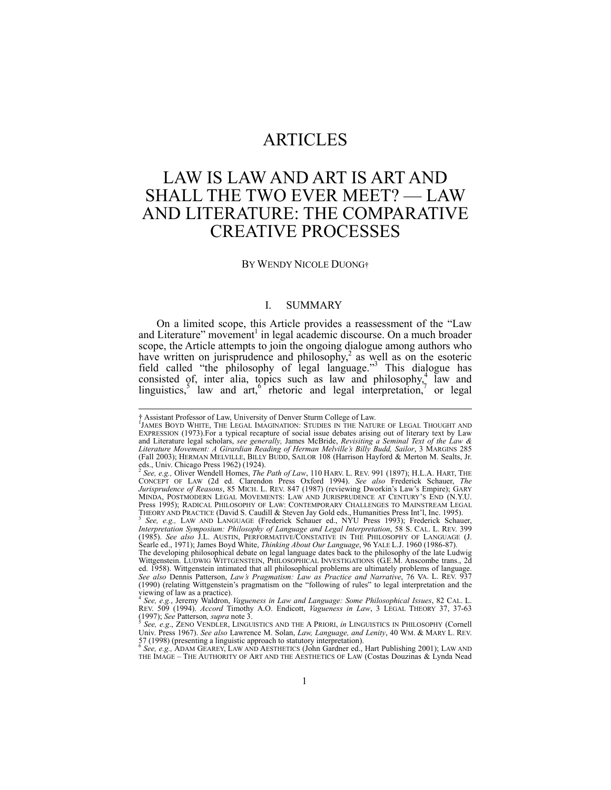## ARTICLES

# LAW IS LAW AND ART IS ART AND SHALL THE TWO EVER MEET? — LAW AND LITERATURE: THE COMPARATIVE CREATIVE PROCESSES

#### BY WENDY NICOLE DUONG†

#### I. SUMMARY

On a limited scope, this Article provides a reassessment of the "Law and Literature" movement<sup>1</sup> in legal academic discourse. On a much broader scope, the Article attempts to join the ongoing dialogue among authors who have written on jurisprudence and philosophy,<sup>2</sup> as well as on the esoteric field called "the philosophy of legal language."3 This dialogue has consisted of, inter alia, topics such as law and philosophy,<sup>4</sup> law and linguistics,<sup>5</sup> law and  $art<sub>1</sub>$ <sup>6</sup> rhetoric and legal interpretation,<sup>7</sup> or legal

<sup>†</sup> Assistant Professor of Law, University of Denver Sturm College of Law.<br>"JAMES BOYD WHITE, THE LEGAL IMAGINATION: STUDIES IN THE NATURE OF LEGAL THOUGHT AND EXPRESSION (1973). For a typical recapture of social issue debates arising out of literary text by Law and Literature legal scholars, *see generally,* James McBride, *Revisiting a Seminal Text of the Law & Literature Movement: A Girardian Reading of Herman Melville's Billy Budd, Sailor*, 3 MARGINS 285 (Fall 2003); HERMAN MELVILLE, BILLY BUDD, SAILOR 108 (Harrison Hayford & Merton M. Sealts, Jr. eds., Univ. Chicago Press 1962) (1924).

<sup>2</sup>  *See, e.g.,* Oliver Wendell Homes, *The Path of Law*, 110 HARV. L. REV. 991 (1897); H.L.A. HART, THE CONCEPT OF LAW (2d ed. Clarendon Press Oxford 1994). *See also* Frederick Schauer, *The Jurisprudence of Reasons*, 85 MICH. L. REV. 847 (1987) (reviewing Dworkin's Law's Empire); GARY MINDA, POSTMODERN LEGAL MOVEMENTS: LAW AND JURISPRUDENCE AT CENTURY'S END (N.Y.U. Press 1995); RADICAL PHILOSOPHY OF LAW: CONTEMPORARY CHALLENGES TO MAINSTREAM LEGAL THEORY AND PRACTICE (David S. Caudill & Steven Jay Gold eds., Humanities Press Int'l, Inc. 1995). 3

<sup>&</sup>lt;sup>3</sup> See, e.g., LAW AND LANGUAGE (Frederick Schauer ed., NYU Press 1993); Frederick Schauer, *Interpretation Symposium: Philosophy of Language and Legal Interpretation*, 58 S. CAL. L. REV. 399 (1985). *See also* J.L. AUSTIN, PERFORMATIVE/CONSTATIVE IN THE PHILOSOPHY OF LANGUAGE (J. Searle ed., 1971); James Boyd White, *Thinking About Our Language*, 96 YALE L.J. 1960 (1986-87).

The developing philosophical debate on legal language dates back to the philosophy of the late Ludwig Wittgenstein. LUDWIG WITTGENSTEIN, PHILOSOPHICAL INVESTIGATIONS (G.E.M. Anscombe trans., 2d ed. 1958). Wittgenstein intimated that all philosophical problems are ultimately problems of language. *See also* Dennis Patterson, *Law's Pragmatism: Law as Practice and Narrative*, 76 VA. L. REV. 937 (1990) (relating Wittgenstein's pragmatism on the "following of rules" to legal interpretation and the viewing of law as a practice). 4  *See, e.g.*, Jeremy Waldron, *Vagueness in Law and Language: Some Philosophical Issues*, 82 CAL. L.

REV. 509 (1994). *Accord* Timothy A.O. Endicott, *Vagueness in Law*, 3 LEGAL THEORY 37, 37-63 (1997); *See Patterson, supra* note 3.<br>
<sup>5</sup> *See, e.g.*, ZENO VENDLER, LINGUISTICS AND THE A PRIORI, *in* LINGUISTICS IN PHILOSOPHY (Cornell<br>
<sup>5</sup> *See, e.g.*, ZENO VENDLER, LINGUISTICS AND THE A PRIORI, *in* LINGUISTICS IN

Univ. Press 1967). *See also* Lawrence M. Solan, *Law, Language, and Lenity*, 40 WM. & MARY L. REV. 57 (1998) (presenting a linguistic approach to statutory interpretation). 6 *See, e.g.,* ADAM GEAREY, LAW AND AESTHETICS (John Gardner ed., Hart Publishing 2001); LAW AND

THE IMAGE – THE AUTHORITY OF ART AND THE AESTHETICS OF LAW (Costas Douzinas & Lynda Nead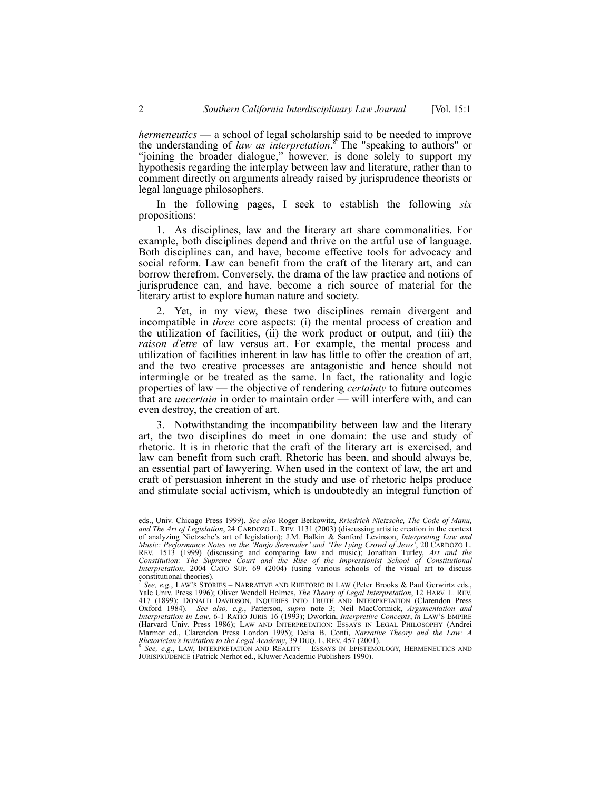*hermeneutics* — a school of legal scholarship said to be needed to improve the understanding of *law as interpretation*. 8 The "speaking to authors" or "joining the broader dialogue," however, is done solely to support my hypothesis regarding the interplay between law and literature, rather than to comment directly on arguments already raised by jurisprudence theorists or legal language philosophers.

In the following pages, I seek to establish the following *six*  propositions:

1. As disciplines, law and the literary art share commonalities. For example, both disciplines depend and thrive on the artful use of language. Both disciplines can, and have, become effective tools for advocacy and social reform. Law can benefit from the craft of the literary art, and can borrow therefrom. Conversely, the drama of the law practice and notions of jurisprudence can, and have, become a rich source of material for the literary artist to explore human nature and society.

2. Yet, in my view, these two disciplines remain divergent and incompatible in *three* core aspects: (i) the mental process of creation and the utilization of facilities, (ii) the work product or output, and (iii) the *raison d'etre* of law versus art. For example, the mental process and utilization of facilities inherent in law has little to offer the creation of art, and the two creative processes are antagonistic and hence should not intermingle or be treated as the same. In fact, the rationality and logic properties of law — the objective of rendering *certainty* to future outcomes that are *uncertain* in order to maintain order — will interfere with, and can even destroy, the creation of art.

3. Notwithstanding the incompatibility between law and the literary art, the two disciplines do meet in one domain: the use and study of rhetoric. It is in rhetoric that the craft of the literary art is exercised, and law can benefit from such craft. Rhetoric has been, and should always be, an essential part of lawyering. When used in the context of law, the art and craft of persuasion inherent in the study and use of rhetoric helps produce and stimulate social activism, which is undoubtedly an integral function of

JURISPRUDENCE (Patrick Nerhot ed., Kluwer Academic Publishers 1990).

eds., Univ. Chicago Press 1999). *See also* Roger Berkowitz, *Rriedrich Nietzsche, The Code of Manu, and The Art of Legislation*, 24 CARDOZO L. REV. 1131 (2003) (discussing artistic creation in the context of analyzing Nietzsche's art of legislation); J.M. Balkin & Sanford Levinson, *Interpreting Law and Music: Performance Notes on the 'Banjo Serenader' and 'The Lying Crowd of Jews'*, 20 CARDOZO L. REV. 1513 (1999) (discussing and comparing law and music); Jonathan Turley, *Art and the Constitution: The Supreme Court and the Rise of the Impressionist School of Constitutional Interpretation*, 2004 CATO SUP. 69 (2004) (using various schools of the visual art to discuss constitutional theories).

<sup>7</sup> *See, e.g.*, LAW'S STORIES – NARRATIVE AND RHETORIC IN LAW (Peter Brooks & Paul Gerwirtz eds., Yale Univ. Press 1996); Oliver Wendell Holmes, *The Theory of Legal Interpretation*, 12 HARV. L. REV. 417 (1899); DONALD DAVIDSON, INQUIRIES INTO TRUTH AND INTERPRETATION (Clarendon Press Oxford 1984). *See also, e.g., Patterson, supra note 3; Neil MacCormick, Argumentation and Interpretation in Law, 6-1 RATIO JURIS 16 (1993); Dworkin, Interpretive Concepts, in LAW'S EMPIRE<br>(Harvard Univ. Press 1986); LAW A* Marmor ed., Clarendon Press London 1995); Delia B. Conti, *Narrative Theory and the Law: A Rhetorician's Invitation to the Legal Academy*, 39 DUQ. L. REV. 457 (2001). 8 *See, e.g.*, LAW, INTERPRETATION AND REALITY – ESSAYS IN EPISTEMOLOGY, HERMENEUTICS AND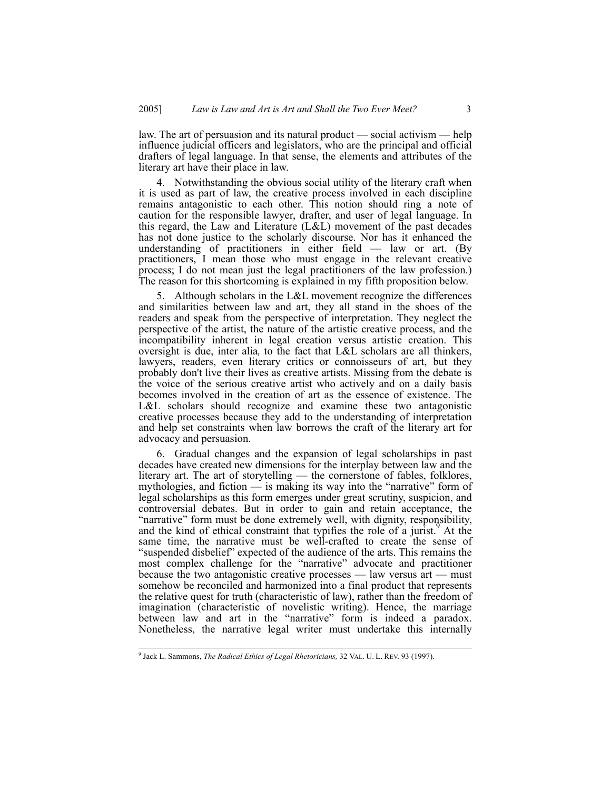law. The art of persuasion and its natural product — social activism — help influence judicial officers and legislators, who are the principal and official drafters of legal language. In that sense, the elements and attributes of the literary art have their place in law.

4. Notwithstanding the obvious social utility of the literary craft when it is used as part of law, the creative process involved in each discipline remains antagonistic to each other. This notion should ring a note of caution for the responsible lawyer, drafter, and user of legal language. In this regard, the Law and Literature (L&L) movement of the past decades has not done justice to the scholarly discourse. Nor has it enhanced the understanding of practitioners in either field — law or art. (By practitioners, I mean those who must engage in the relevant creative process; I do not mean just the legal practitioners of the law profession.) The reason for this shortcoming is explained in my fifth proposition below.

5. Although scholars in the L&L movement recognize the differences and similarities between law and art, they all stand in the shoes of the readers and speak from the perspective of interpretation. They neglect the perspective of the artist, the nature of the artistic creative process, and the incompatibility inherent in legal creation versus artistic creation. This oversight is due, inter alia*,* to the fact that L&L scholars are all thinkers, lawyers, readers, even literary critics or connoisseurs of art, but they probably don't live their lives as creative artists. Missing from the debate is the voice of the serious creative artist who actively and on a daily basis becomes involved in the creation of art as the essence of existence. The L&L scholars should recognize and examine these two antagonistic creative processes because they add to the understanding of interpretation and help set constraints when law borrows the craft of the literary art for advocacy and persuasion.

6. Gradual changes and the expansion of legal scholarships in past decades have created new dimensions for the interplay between law and the literary art. The art of storytelling — the cornerstone of fables, folklores, mythologies, and fiction — is making its way into the "narrative" form of legal scholarships as this form emerges under great scrutiny, suspicion, and controversial debates. But in order to gain and retain acceptance, the "narrative" form must be done extremely well, with dignity, responsibility, and the kind of ethical constraint that typifies the role of a jurist. At the same time, the narrative must be well-crafted to create the sense of "suspended disbelief" expected of the audience of the arts. This remains the most complex challenge for the "narrative" advocate and practitioner because the two antagonistic creative processes — law versus art — must somehow be reconciled and harmonized into a final product that represents the relative quest for truth (characteristic of law), rather than the freedom of imagination (characteristic of novelistic writing). Hence, the marriage between law and art in the "narrative" form is indeed a paradox. Nonetheless, the narrative legal writer must undertake this internally

<sup>-&</sup>lt;br>9 <sup>9</sup> Jack L. Sammons, *The Radical Ethics of Legal Rhetoricians*, 32 VAL. U. L. REV. 93 (1997).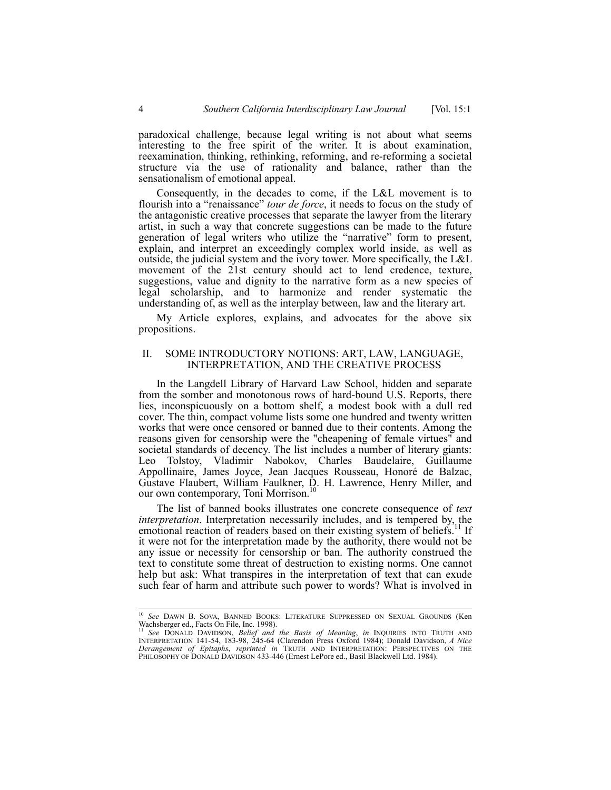paradoxical challenge, because legal writing is not about what seems interesting to the free spirit of the writer. It is about examination, reexamination, thinking, rethinking, reforming, and re-reforming a societal structure via the use of rationality and balance, rather than the sensationalism of emotional appeal.

Consequently, in the decades to come, if the L&L movement is to flourish into a "renaissance" *tour de force*, it needs to focus on the study of the antagonistic creative processes that separate the lawyer from the literary artist, in such a way that concrete suggestions can be made to the future generation of legal writers who utilize the "narrative" form to present, explain, and interpret an exceedingly complex world inside, as well as outside, the judicial system and the ivory tower. More specifically, the L&L movement of the 21st century should act to lend credence, texture, suggestions, value and dignity to the narrative form as a new species of legal scholarship, and to harmonize and render systematic the understanding of, as well as the interplay between, law and the literary art.

My Article explores, explains, and advocates for the above six propositions.

#### II. SOME INTRODUCTORY NOTIONS: ART, LAW, LANGUAGE, INTERPRETATION, AND THE CREATIVE PROCESS

In the Langdell Library of Harvard Law School, hidden and separate from the somber and monotonous rows of hard-bound U.S. Reports, there lies, inconspicuously on a bottom shelf, a modest book with a dull red cover. The thin, compact volume lists some one hundred and twenty written works that were once censored or banned due to their contents. Among the reasons given for censorship were the "cheapening of female virtues" and societal standards of decency. The list includes a number of literary giants: Leo Tolstoy, Vladimir Nabokov, Charles Baudelaire, Guillaume Appollinaire, James Joyce, Jean Jacques Rousseau, Honoré de Balzac, Gustave Flaubert, William Faulkner, D. H. Lawrence, Henry Miller, and our own contemporary, Toni Morrison.<sup>10</sup>

The list of banned books illustrates one concrete consequence of *text interpretation*. Interpretation necessarily includes, and is tempered by, the emotional reaction of readers based on their existing system of beliefs.<sup>11</sup> If it were not for the interpretation made by the authority, there would not be any issue or necessity for censorship or ban. The authority construed the text to constitute some threat of destruction to existing norms. One cannot help but ask: What transpires in the interpretation of text that can exude such fear of harm and attribute such power to words? What is involved in

 <sup>10</sup> *See* DAWN B. SOVA, BANNED BOOKS: LITERATURE SUPPRESSED ON SEXUAL GROUNDS (Ken Wachsberger ed., Facts On File, Inc. 1998).

<sup>11</sup> *See* DONALD DAVIDSON, *Belief and the Basis of Meaning*, *in* INQUIRIES INTO TRUTH AND INTERPRETATION 141-54, 183-98, 245-64 (Clarendon Press Oxford 1984); Donald Davidson, *A Nice Derangement of Epitaphs*, *reprinted in* TRUTH AND INTERPRETATION: PERSPECTIVES ON THE PHILOSOPHY OF DONALD DAVIDSON 433-446 (Ernest LePore ed., Basil Blackwell Ltd. 1984).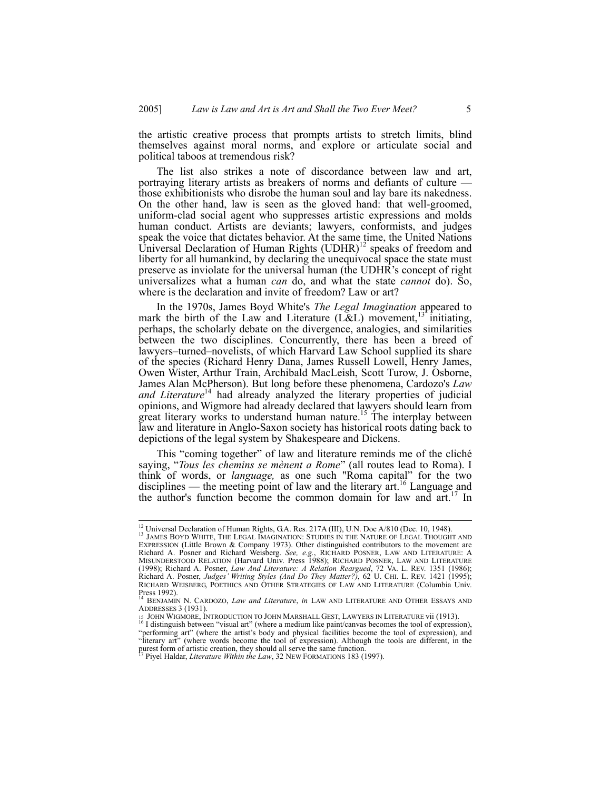the artistic creative process that prompts artists to stretch limits, blind themselves against moral norms, and explore or articulate social and political taboos at tremendous risk?

The list also strikes a note of discordance between law and art, portraying literary artists as breakers of norms and defiants of culture those exhibitionists who disrobe the human soul and lay bare its nakedness. On the other hand, law is seen as the gloved hand: that well-groomed, uniform-clad social agent who suppresses artistic expressions and molds human conduct. Artists are deviants; lawyers, conformists, and judges speak the voice that dictates behavior. At the same time, the United Nations Universal Declaration of Human Rights  $(UDHR)^{12}$  speaks of freedom and liberty for all humankind, by declaring the unequivocal space the state must preserve as inviolate for the universal human (the UDHR's concept of right universalizes what a human *can* do, and what the state *cannot* do). So, where is the declaration and invite of freedom? Law or art?

In the 1970s, James Boyd White's *The Legal Imagination* appeared to mark the birth of the Law and Literature  $(L&L)$  movement,<sup>13</sup> initiating, perhaps, the scholarly debate on the divergence, analogies, and similarities between the two disciplines. Concurrently, there has been a breed of lawyers–turned–novelists, of which Harvard Law School supplied its share of the species (Richard Henry Dana, James Russell Lowell, Henry James, Owen Wister, Arthur Train, Archibald MacLeish, Scott Turow, J. Osborne, James Alan McPherson). But long before these phenomena, Cardozo's *Law*  and Literature<sup>14</sup> had already analyzed the literary properties of judicial opinions, and Wigmore had already declared that lawyers should learn from great literary works to understand human nature.<sup>15</sup> The interplay between law and literature in Anglo-Saxon society has historical roots dating back to depictions of the legal system by Shakespeare and Dickens.

This "coming together" of law and literature reminds me of the cliché saying, "*Tous les chemins se mènent a Rome*" (all routes lead to Roma). I think of words, or *language,* as one such "Roma capital" for the two disciplines — the meeting point of law and the literary  $\arct{at}$ .<sup>16</sup> Language and the author's function become the common domain for law and  $art<sup>17</sup>$ . In

<sup>&</sup>lt;sup>12</sup> Universal Declaration of Human Rights, G.A. Res. 217A (III), U.N. Doc A/810 (Dec. 10, 1948). <sup>13</sup> JAMES BOYD WHITE, THE LEGAL IMAGINATION: STUDIES IN THE NATURE OF LEGAL THOUGHT AND EXPRESSION (Little Brown & Company 1973). Other distinguished contributors to the movement are Richard A. Posner and Richard Weisberg. *See, e.g.*, RICHARD POSNER, LAW AND LITERATURE: A MISUNDERSTOOD RELATION (Harvard Univ. Press 1988); RICHARD POSNER, LAW AND LITERATURE (1998); Richard A. Posner, *Law And Literature: A Relation Reargued*, 72 VA. L. REV. 1351 (1986); Richard A. Posner, *Judges' Writing Styles (And Do They Matter?)*, 62 U. CHI. L. REV. 1421 (1995); RICHARD WEISBERG, POETHICS AND OTHER STRATEGIES OF LAW AND LITERATURE (Columbia Univ.

Press 1992).<br><sup>14</sup> Benjamin N. Cardozo, *Law and Literature*, *in* Law and Literature and Other Essays and ADDRESSES 3 (1931).<br>
15 JOHN WIGMORE, INTRODUCTION TO JOHN MARSHALL GEST, LAWYERS IN LITERATURE vii (1913).<br>
<sup>16</sup> I distinguish between "visual art" (where a medium like paint/canvas becomes the tool of expression),

<sup>&</sup>quot;performing art" (where the artist's body and physical facilities become the tool of expression), and "literary art" (where words become the tool of expression). Although the tools are different, in the purest form of artistic creation, they should all serve the same function. 17 Piyel Haldar, *Literature Within the Law*, 32 NEW FORMATIONS 183 (1997).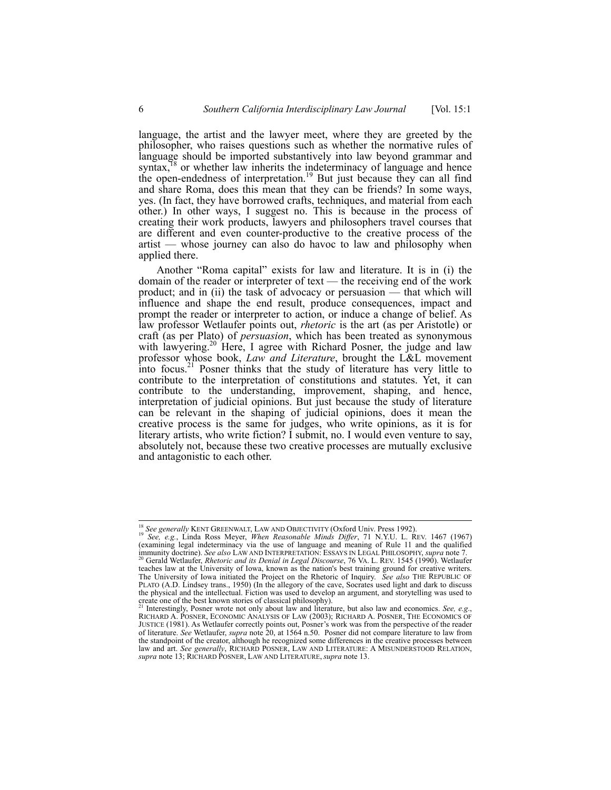language, the artist and the lawyer meet, where they are greeted by the philosopher, who raises questions such as whether the normative rules of language should be imported substantively into law beyond grammar and syntax, $18$  or whether law inherits the indeterminacy of language and hence the open-endedness of interpretation.<sup>19</sup> But just because they can all find and share Roma, does this mean that they can be friends? In some ways, yes. (In fact, they have borrowed crafts, techniques, and material from each other.) In other ways, I suggest no. This is because in the process of creating their work products, lawyers and philosophers travel courses that are different and even counter-productive to the creative process of the artist — whose journey can also do havoc to law and philosophy when applied there.

Another "Roma capital" exists for law and literature. It is in (i) the domain of the reader or interpreter of text — the receiving end of the work product; and in (ii) the task of advocacy or persuasion — that which will influence and shape the end result, produce consequences, impact and prompt the reader or interpreter to action, or induce a change of belief. As law professor Wetlaufer points out, *rhetoric* is the art (as per Aristotle) or craft (as per Plato) of *persuasion*, which has been treated as synonymous with lawyering.<sup>20</sup> Here, I agree with Richard Posner, the judge and law professor whose book, *Law and Literature*, brought the L&L movement into focus.<sup>21</sup> Posner thinks that the study of literature has very little to contribute to the interpretation of constitutions and statutes. Yet, it can contribute to the understanding, improvement, shaping, and hence, interpretation of judicial opinions. But just because the study of literature can be relevant in the shaping of judicial opinions, does it mean the creative process is the same for judges, who write opinions, as it is for literary artists, who write fiction? I submit, no. I would even venture to say, absolutely not, because these two creative processes are mutually exclusive and antagonistic to each other.

<sup>&</sup>lt;sup>18</sup> *See generally* KENT GREENWALT, LAW AND OBJECTIVITY (Oxford Univ. Press 1992). <sup>19</sup> *See, e.g.*, Linda Ross Meyer, *When Reasonable Minds Differ*, 71 N.Y.U. L. REV. 1467 (1967) (examining legal indeterminacy via the use of language and meaning of Rule 11 and the qualified<br>immunity doctrine). See also LAW AND INTERPRETATION: ESSAYS IN LEGAL PHILOSOPHY, supra note 7. Gerald Wetlaufer, *Rhetoric and its Denial in Legal Discourse*, 76 VA. L. REV. 1545 (1990). Wetlaufer

teaches law at the University of Iowa, known as the nation's best training ground for creative writers. The University of Iowa initiated the Project on the Rhetoric of Inquiry. *See also* THE REPUBLIC OF PLATO (A.D. Lindsey trans., 1950) (In the allegory of the cave, Socrates used light and dark to discuss the physical and the intellectual. Fiction was used to develop an argument, and storytelling was used to create one of the best known stories of classical philosophy). 21 Interestingly, Posner wrote not only about law and literature, but also law and economics. *See, e.g*.,

RICHARD A. POSNER, ECONOMIC ANALYSIS OF LAW (2003); RICHARD A. POSNER, THE ECONOMICS OF JUSTICE (1981). As Wetlaufer correctly points out, Posner's work was from the perspective of the reader of literature. *See* Wetlaufer, *supra* note 20, at 1564 n.50. Posner did not compare literature to law from the standpoint of the creator, although he recognized some differences in the creative processes between law and art. *See generally*, RICHARD POSNER, LAW AND LITERATURE: A MISUNDERSTOOD RELATION, *supra* note 13; RICHARD POSNER, LAW AND LITERATURE, *supra* note 13.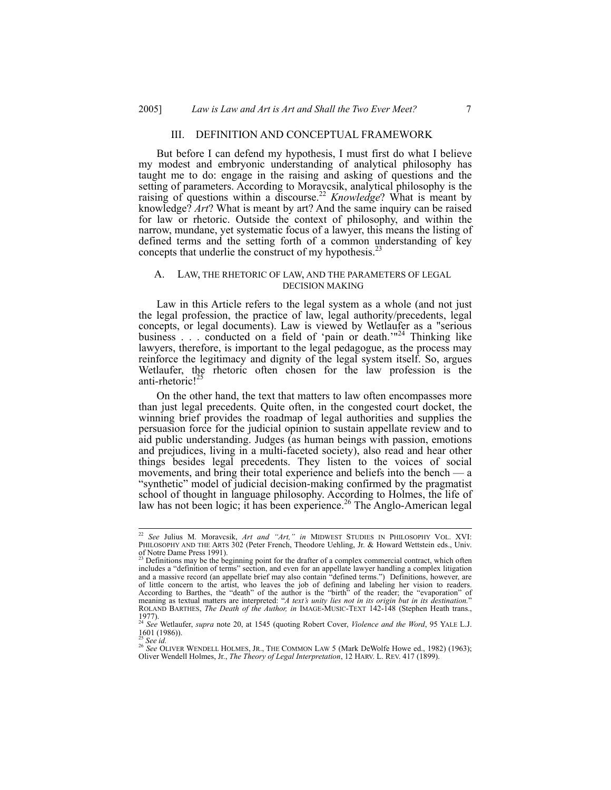#### III. DEFINITION AND CONCEPTUAL FRAMEWORK

But before I can defend my hypothesis, I must first do what I believe my modest and embryonic understanding of analytical philosophy has taught me to do: engage in the raising and asking of questions and the setting of parameters. According to Moravcsik, analytical philosophy is the raising of questions within a discourse.<sup>22</sup> *Knowledge*? What is meant by knowledge? *Art*? What is meant by art? And the same inquiry can be raised for law or rhetoric. Outside the context of philosophy, and within the narrow, mundane, yet systematic focus of a lawyer, this means the listing of defined terms and the setting forth of a common understanding of key concepts that underlie the construct of my hypothesis.<sup>23</sup>

### A. LAW, THE RHETORIC OF LAW, AND THE PARAMETERS OF LEGAL DECISION MAKING

Law in this Article refers to the legal system as a whole (and not just the legal profession, the practice of law, legal authority/precedents, legal concepts, or legal documents). Law is viewed by Wetlaufer as a "serious business . . . conducted on a field of 'pain or death.'<sup>124</sup> Thinking like lawyers, therefore, is important to the legal pedagogue, as the process may reinforce the legitimacy and dignity of the legal system itself. So, argues Wetlaufer, the rhetoric often chosen for the law profession is the anti-rhetoric!<sup>25</sup>

On the other hand, the text that matters to law often encompasses more than just legal precedents. Quite often, in the congested court docket, the winning brief provides the roadmap of legal authorities and supplies the persuasion force for the judicial opinion to sustain appellate review and to aid public understanding. Judges (as human beings with passion, emotions and prejudices, living in a multi-faceted society), also read and hear other things besides legal precedents. They listen to the voices of social movements, and bring their total experience and beliefs into the bench — a "synthetic" model of judicial decision-making confirmed by the pragmatist school of thought in language philosophy. According to Holmes, the life of law has not been logic; it has been experience.<sup>26</sup> The Anglo-American legal

 <sup>22</sup> *See* Julius M. Moravcsik, *Art and "Art," in* MIDWEST STUDIES IN PHILOSOPHY VOL. XVI: PHILOSOPHY AND THE ARTS 302 (Peter French, Theodore Uehling, Jr. & Howard Wettstein eds., Univ. of Notre Dame Press 1991).<br><sup>23</sup> Definitions may be the beginning point for the drafter of a complex commercial contract, which often

includes a "definition of terms" section, and even for an appellate lawyer handling a complex litigation and a massive record (an appellate brief may also contain "defined terms.") Definitions, however, are of little concern to the artist, who leaves the job of defining and labeling her vision to readers.<br>According to Barthes, the "death" of the author is the "birth" of the reader; the "evaporation" of<br>meaning as textual matt ROLAND BARTHES, *The Death of the Author, in* IMAGE-MUSIC-TEXT 142-148 (Stephen Heath trans.,

<sup>1977).</sup>  <sup>24</sup> *See* Wetlaufer, *supra* note 20, at 1545 (quoting Robert Cover, *Violence and the Word*, 95 YALE L.J.  $\frac{1601}{25}$  (1986)).

<sup>25</sup> *See id.* <sup>26</sup> *See* OLIVER WENDELL HOLMES, JR., THE COMMON LAW 5 (Mark DeWolfe Howe ed., 1982) (1963); Oliver Wendell Holmes, Jr., *The Theory of Legal Interpretation*, 12 HARV. L. REV. 417 (1899).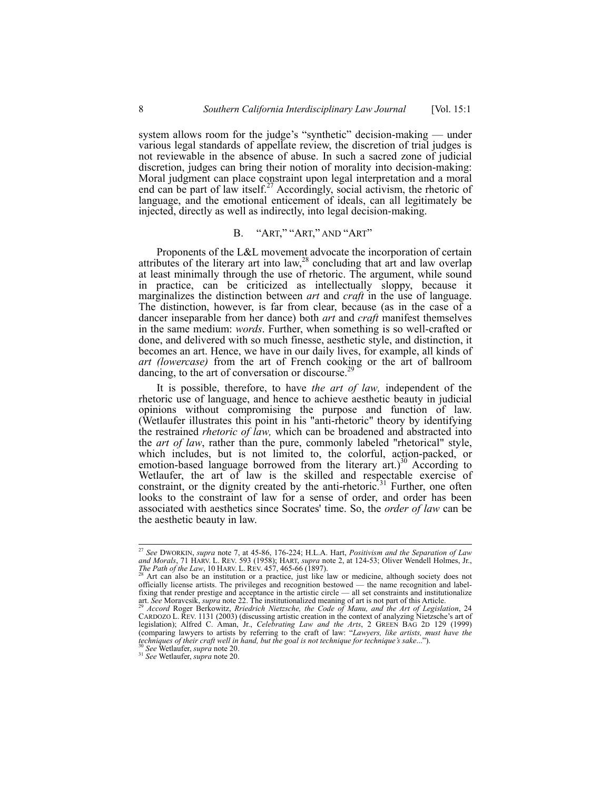system allows room for the judge's "synthetic" decision-making — under various legal standards of appellate review, the discretion of trial judges is not reviewable in the absence of abuse. In such a sacred zone of judicial discretion, judges can bring their notion of morality into decision-making: Moral judgment can place constraint upon legal interpretation and a moral end can be part of law itself.<sup>27</sup> Accordingly, social activism, the rhetoric of language, and the emotional enticement of ideals, can all legitimately be injected, directly as well as indirectly, into legal decision-making.

## B. "ART," "ART," AND "ART"

Proponents of the L&L movement advocate the incorporation of certain attributes of the literary art into law,  $28$  concluding that art and law overlap at least minimally through the use of rhetoric. The argument, while sound in practice, can be criticized as intellectually sloppy, because it marginalizes the distinction between *art* and *craft* in the use of language. The distinction, however, is far from clear, because (as in the case of a dancer inseparable from her dance) both *art* and *craft* manifest themselves in the same medium: *words*. Further, when something is so well-crafted or done, and delivered with so much finesse, aesthetic style, and distinction, it becomes an art. Hence, we have in our daily lives, for example, all kinds of *art (lowercase)* from the art of French cooking or the art of ballroom dancing, to the art of conversation or discourse.<sup>29</sup>

It is possible, therefore, to have *the art of law,* independent of the rhetoric use of language, and hence to achieve aesthetic beauty in judicial opinions without compromising the purpose and function of law. (Wetlaufer illustrates this point in his "anti-rhetoric" theory by identifying the restrained *rhetoric of law,* which can be broadened and abstracted into the *art of law*, rather than the pure, commonly labeled "rhetorical" style, which includes, but is not limited to, the colorful, action-packed, or emotion-based language borrowed from the literary  $art.^{30}$  According to Wetlaufer, the art of law is the skilled and respectable exercise of constraint, or the dignity created by the anti-rhetoric.<sup>31</sup> Further, one often looks to the constraint of law for a sense of order, and order has been associated with aesthetics since Socrates' time. So, the *order of law* can be the aesthetic beauty in law.

 <sup>27</sup> *See* DWORKIN, *supra* note 7, at 45-86, 176-224; H.L.A. Hart, *Positivism and the Separation of Law*  and Morals, 71 HARV. L. REV. 593 (1958); HART, *supra* note 2, at 124-53; Oliver Wendell Holmes, Jr., *The Path of the Law*, 10 HARV. L. REV. 457, 465-66 (1897).<br><sup>28</sup> Art can also be an institution or a practice, just like

officially license artists. The privileges and recognition bestowed — the name recognition and label-<br>fixing that render prestige and acceptance in the artistic circle — all set constraints and institutionalize<br>art. See M

CARDOZO L. REV. 1131 (2003) (discussing artistic creation in the context of analyzing Nietzsche's art of legislation); Alfred C. Aman, Jr., *Celebrating Law and the Arts*, 2 GREEN BAG 2D 129 (1999) (comparing lawyers to artists by referring to the craft of law: "Lawyers, like artists, must have the techniques of their craft well in hand, but the goal is not technique for technique's sake...").<br><sup>30</sup> See Wetlaufer, su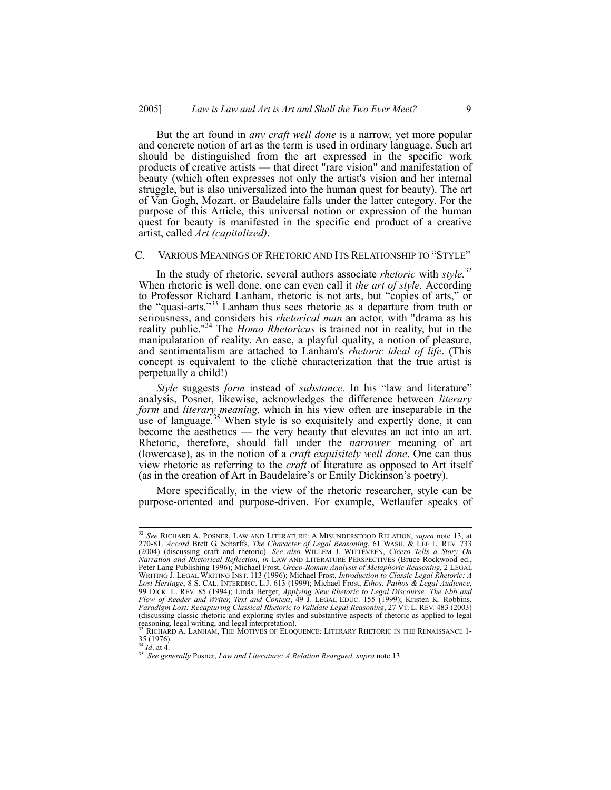But the art found in *any craft well done* is a narrow, yet more popular and concrete notion of art as the term is used in ordinary language. Such art should be distinguished from the art expressed in the specific work products of creative artists — that direct "rare vision" and manifestation of beauty (which often expresses not only the artist's vision and her internal struggle, but is also universalized into the human quest for beauty). The art of Van Gogh, Mozart, or Baudelaire falls under the latter category. For the purpose of this Article, this universal notion or expression of the human quest for beauty is manifested in the specific end product of a creative artist, called *Art (capitalized)*.

#### C. VARIOUS MEANINGS OF RHETORIC AND ITS RELATIONSHIP TO "STYLE"

In the study of rhetoric, several authors associate *rhetoric* with *style.*<sup>32</sup> When rhetoric is well done, one can even call it *the art of style.* According to Professor Richard Lanham, rhetoric is not arts, but "copies of arts," or the "quasi-arts."33 Lanham thus sees rhetoric as a departure from truth or seriousness, and considers his *rhetorical man* an actor, with "drama as his reality public."34 The *Homo Rhetoricus* is trained not in reality, but in the manipulatation of reality. An ease, a playful quality, a notion of pleasure, and sentimentalism are attached to Lanham's *rhetoric ideal of life*. (This concept is equivalent to the cliché characterization that the true artist is perpetually a child!)

*Style* suggests *form* instead of *substance.* In his "law and literature" analysis, Posner, likewise, acknowledges the difference between *literary form* and *literary meaning,* which in his view often are inseparable in the use of language.<sup>35</sup> When style is so exquisitely and expertly done, it can become the aesthetics — the very beauty that elevates an act into an art. Rhetoric, therefore, should fall under the *narrower* meaning of art (lowercase), as in the notion of a *craft exquisitely well done*. One can thus view rhetoric as referring to the *craft* of literature as opposed to Art itself (as in the creation of Art in Baudelaire's or Emily Dickinson's poetry).

More specifically, in the view of the rhetoric researcher, style can be purpose-oriented and purpose-driven. For example, Wetlaufer speaks of

 <sup>32</sup> *See* RICHARD A. POSNER, LAW AND LITERATURE: <sup>A</sup> MISUNDERSTOOD RELATION, *supra* note 13, at 270-81. *Accord* Brett G. Scharffs, *The Character of Legal Reasoning*, 61 WASH. & LEE L. REV. 733 (2004) (discussing craft and rhetoric). *See also* WILLEM J. WITTEVEEN, *Cicero Tells a Story On Narration and Rhetorical Reflection*, *in* LAW AND LITERATURE PERSPECTIVES (Bruce Rockwood ed., Peter Lang Publishing 1996); Michael Frost, *Greco-Roman Analysis of Metaphoric Reasoning*, 2 LEGAL WRITING J. LEGAL WRITING INST. 113 (1996); Michael Frost, *Introduction to Classic Legal Rhetoric: A Lost Heritage*, 8 S. CAL. INTERDISC. L.J. 613 (1999); Michael Frost, *Ethos, Pathos & Legal Audience*, 99 DICK. L. REV. 85 (1994); Linda Berger, *Applying New Rhetoric to Legal Discourse: The Ebb and Flow of Reader and Writer, Text and Context*, 49 J. LEGAL EDUC. 155 (1999); Kristen K. Robbins, *Paradigm Lost: Recapturing Classical Rhetoric to Validate Legal Reasoning*, 27 VT. L. REV. 483 (2003) (discussing classic rhetoric and exploring styles and substantive aspects of rhetoric as applied to legal as<br>reasoning, legal writing, and legal interpretation).

RICHARD A. LANHAM, THE MOTIVES OF ELOQUENCE: LITERARY RHETORIC IN THE RENAISSANCE 1- $\frac{35}{^{34}}$  *Id.* at 4.

<sup>&</sup>lt;sup>35</sup> See generally Posner, Law and Literature: A Relation Reargued, supra note 13.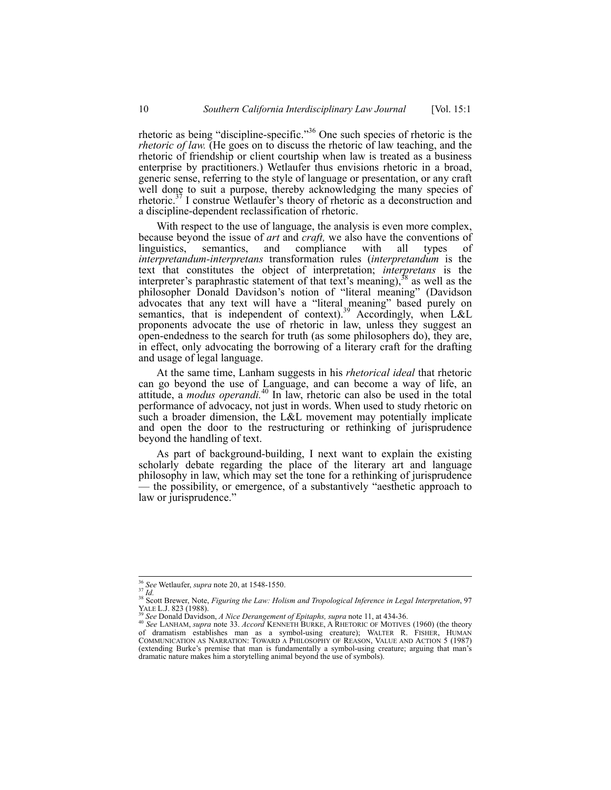rhetoric as being "discipline-specific."36 One such species of rhetoric is the *rhetoric of law.* (He goes on to discuss the rhetoric of law teaching, and the rhetoric of friendship or client courtship when law is treated as a business enterprise by practitioners.) Wetlaufer thus envisions rhetoric in a broad, generic sense, referring to the style of language or presentation, or any craft well done to suit a purpose, thereby acknowledging the many species of rhetoric.37 I construe Wetlaufer's theory of rhetoric as a deconstruction and a discipline-dependent reclassification of rhetoric.

With respect to the use of language, the analysis is even more complex, because beyond the issue of *art* and *craft*, we also have the conventions of linguistics, semantics, and compliance with all types of linguistics, semantics, and compliance with all types of *interpretandum-interpretans* transformation rules (*interpretandum* is the text that constitutes the object of interpretation; *interpretans* is the interpreter's paraphrastic statement of that text's meaning), $38$  as well as the philosopher Donald Davidson's notion of "literal meaning" (Davidson advocates that any text will have a "literal meaning" based purely on semantics, that is independent of context).<sup>39</sup> Accordingly, when L&L proponents advocate the use of rhetoric in law, unless they suggest an open-endedness to the search for truth (as some philosophers do), they are, in effect, only advocating the borrowing of a literary craft for the drafting and usage of legal language.

At the same time, Lanham suggests in his *rhetorical ideal* that rhetoric can go beyond the use of Language, and can become a way of life, an attitude, a *modus operandi.*<sup>40</sup> In law, rhetoric can also be used in the total performance of advocacy, not just in words. When used to study rhetoric on such a broader dimension, the L&L movement may potentially implicate and open the door to the restructuring or rethinking of jurisprudence beyond the handling of text.

As part of background-building, I next want to explain the existing scholarly debate regarding the place of the literary art and language philosophy in law, which may set the tone for a rethinking of jurisprudence the possibility, or emergence, of a substantively "aesthetic approach to law or jurisprudence."

<sup>&</sup>lt;sup>36</sup> *See* Wetlaufer, *supra* note 20, at 1548-1550.<br><sup>37</sup> *Id.* <sup>38</sup> Scott Brewer, Note, *Figuring the Law: Holism and Tropological Inference in Legal Interpretation*, 97<br>VALE L.J. 823 (1988). YALE L.J. 823 (1988).<br><sup>39</sup> See Donald Davidson, *A Nice Derangement of Epitaphs, supra* note 11, at 434-36.<br><sup>40</sup> See LANHAM, *supra* note 33. *Accord KE*NNETH BURKE, A RHETORIC OF MOTIVES (1960) (the theory

of dramatism establishes man as a symbol-using creature); WALTER R. FISHER, HUMAN COMMUNICATION AS NARRATION: TOWARD A PHILOSOPHY OF REASON, VALUE AND ACTION 5 (1987) (extending Burke's premise that man is fundamentally a symbol-using creature; arguing that man's dramatic nature makes him a storytelling animal beyond the use of symbols).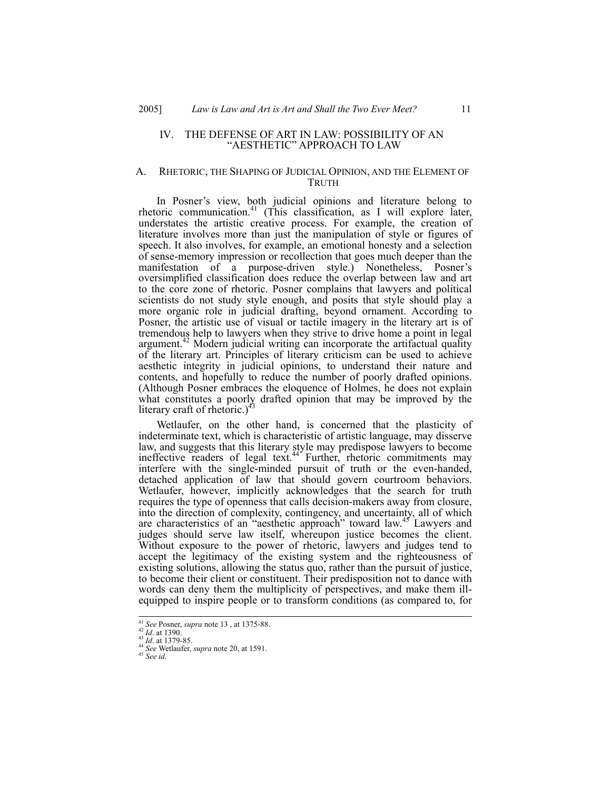#### IV. THE DEFENSE OF ART IN LAW: POSSIBILITY OF AN "AESTHETIC" APPROACH TO LAW

#### A. RHETORIC, THE SHAPING OF JUDICIAL OPINION, AND THE ELEMENT OF TRUTH

In Posner's view, both judicial opinions and literature belong to rhetoric communication.<sup>41</sup> (This classification, as I will explore later, understates the artistic creative process. For example, the creation of literature involves more than just the manipulation of style or figures of speech. It also involves, for example, an emotional honesty and a selection of sense-memory impression or recollection that goes much deeper than the manifestation of a purpose-driven style.) Nonetheless, Posner's oversimplified classification does reduce the overlap between law and art to the core zone of rhetoric. Posner complains that lawyers and political scientists do not study style enough, and posits that style should play a more organic role in judicial drafting, beyond ornament. According to Posner, the artistic use of visual or tactile imagery in the literary art is of tremendous help to lawyers when they strive to drive home a point in legal argument.<sup>42</sup> Modern judicial writing can incorporate the artifactual quality of the literary art. Principles of literary criticism can be used to achieve aesthetic integrity in judicial opinions, to understand their nature and contents, and hopefully to reduce the number of poorly drafted opinions. (Although Posner embraces the eloquence of Holmes, he does not explain what constitutes a poorly drafted opinion that may be improved by the literary craft of rhetoric.) $43$ 

Wetlaufer, on the other hand, is concerned that the plasticity of indeterminate text, which is characteristic of artistic language, may disserve law, and suggests that this literary style may predispose lawyers to become ineffective readers of legal text. $44$  Further, rhetoric commitments may interfere with the single-minded pursuit of truth or the even-handed, detached application of law that should govern courtroom behaviors. Wetlaufer, however, implicitly acknowledges that the search for truth requires the type of openness that calls decision-makers away from closure, into the direction of complexity, contingency, and uncertainty, all of which are characteristics of an "aesthetic approach" toward law.<sup>45</sup> Lawyers and judges should serve law itself, whereupon justice becomes the client. Without exposure to the power of rhetoric, lawyers and judges tend to accept the legitimacy of the existing system and the righteousness of existing solutions, allowing the status quo, rather than the pursuit of justice, to become their client or constituent. Their predisposition not to dance with words can deny them the multiplicity of perspectives, and make them illequipped to inspire people or to transform conditions (as compared to, for

<sup>41</sup> *See* Posner, *supra* note 13 , at 1375-88. 42 *Id*. at 1390. 43 *Id*. at 1379-85. 44 *See* Wetlaufer, *supra* note 20, at 1591. 45 *See id.*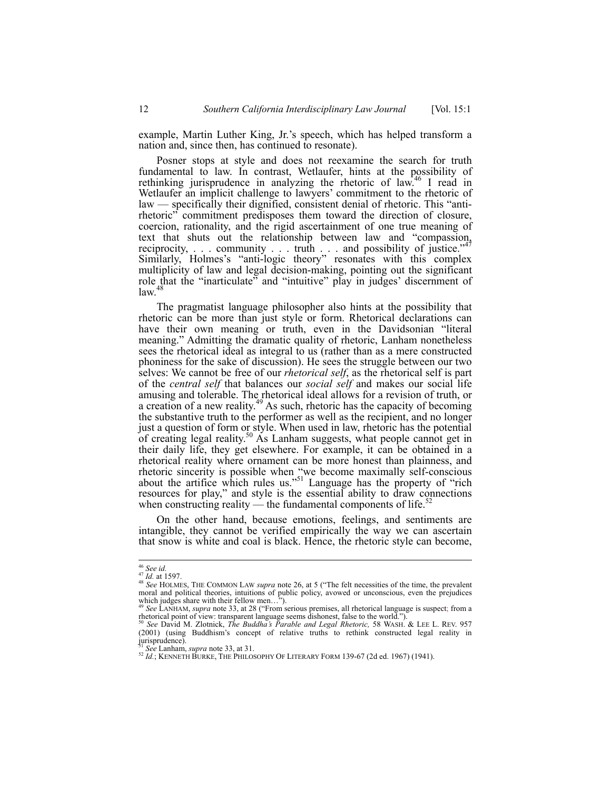example, Martin Luther King, Jr.'s speech, which has helped transform a nation and, since then, has continued to resonate).

Posner stops at style and does not reexamine the search for truth fundamental to law. In contrast, Wetlaufer, hints at the possibility of rethinking jurisprudence in analyzing the rhetoric of law.<sup>46</sup> I read in Wetlaufer an implicit challenge to lawyers' commitment to the rhetoric of law — specifically their dignified, consistent denial of rhetoric. This "antirhetoric" commitment predisposes them toward the direction of closure, coercion, rationality, and the rigid ascertainment of one true meaning of text that shuts out the relationship between law and "compassion, reciprocity,  $\ldots$  community  $\ldots$  truth  $\ldots$  and possibility of justice."<sup>47</sup> Similarly, Holmes's "anti-logic theory" resonates with this complex multiplicity of law and legal decision-making, pointing out the significant role that the "inarticulate" and "intuitive" play in judges' discernment of  $law<sup>4</sup>$ 

The pragmatist language philosopher also hints at the possibility that rhetoric can be more than just style or form. Rhetorical declarations can have their own meaning or truth, even in the Davidsonian "literal meaning." Admitting the dramatic quality of rhetoric, Lanham nonetheless sees the rhetorical ideal as integral to us (rather than as a mere constructed phoniness for the sake of discussion). He sees the struggle between our two selves: We cannot be free of our *rhetorical self*, as the rhetorical self is part of the *central self* that balances our *social self* and makes our social life amusing and tolerable. The rhetorical ideal allows for a revision of truth, or a creation of a new reality.<sup>49</sup> As such, rhetoric has the capacity of becoming the substantive truth to the performer as well as the recipient, and no longer just a question of form or style. When used in law, rhetoric has the potential of creating legal reality.<sup>50</sup> As Lanham suggests, what people cannot get in their daily life, they get elsewhere. For example, it can be obtained in a rhetorical reality where ornament can be more honest than plainness, and rhetoric sincerity is possible when "we become maximally self-conscious about the artifice which rules us."<sup>51</sup> Language has the property of "rich resources for play," and style is the essential ability to draw connections when constructing reality — the fundamental components of life. $\delta$ 

On the other hand, because emotions, feelings, and sentiments are intangible, they cannot be verified empirically the way we can ascertain that snow is white and coal is black. Hence, the rhetoric style can become,

<sup>&</sup>lt;sup>46</sup> See id.<br><sup>47</sup> Id. at 1597.<br><sup>48</sup> See HOLMES, THE COMMON LAW *supra* note 26, at 5 ("The felt necessities of the time, the prevalent<br>moral and political theories, intuitions of public policy, avowed or unconscious, even Applied to the product metal metal which judges share with their fellow men...<sup>3</sup>).<br><sup>49</sup> *See* LANHAM, *supra* note 33, at 28 ("From serious premises, all rhetorical language is suspect; from a

rhetorical point of view: transparent language seems dishonest, false to the world."). 50 *See* David M. Zlotnick, *The Buddha's Parable and Legal Rhetoric,* 58 WASH. & LEE L. REV. 957

<sup>(2001) (</sup>using Buddhism's concept of relative truths to rethink constructed legal reality in jurisprudence).<br> $51 \text{ See Lanham}$ , *supra* note 33, at 31.

<sup>51</sup> *See* Lanham, *supra* note 33, at 31. 52 *Id.*; KENNETH BURKE, THE PHILOSOPHY OF LITERARY FORM 139-67 (2d ed. 1967) (1941).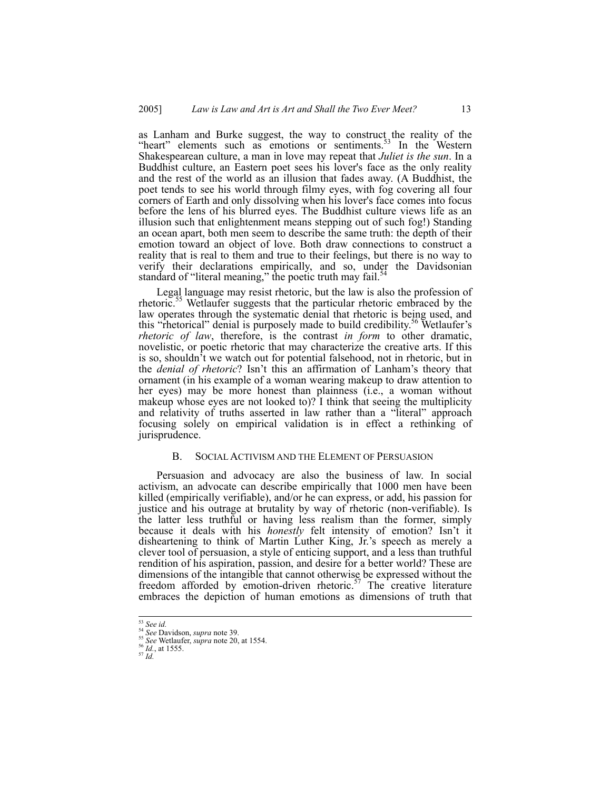as Lanham and Burke suggest, the way to construct the reality of the "heart" elements such as emotions or sentiments. $53$  In the Western Shakespearean culture, a man in love may repeat that *Juliet is the sun*. In a Buddhist culture, an Eastern poet sees his lover's face as the only reality and the rest of the world as an illusion that fades away. (A Buddhist, the poet tends to see his world through filmy eyes, with fog covering all four corners of Earth and only dissolving when his lover's face comes into focus before the lens of his blurred eyes. The Buddhist culture views life as an illusion such that enlightenment means stepping out of such fog!) Standing an ocean apart, both men seem to describe the same truth: the depth of their emotion toward an object of love. Both draw connections to construct a reality that is real to them and true to their feelings, but there is no way to verify their declarations empirically, and so, under the Davidsonian standard of "literal meaning," the poetic truth may fail.<sup>54</sup>

Legal language may resist rhetoric, but the law is also the profession of rhetoric.<sup>55</sup> Wetlaufer suggests that the particular rhetoric embraced by the law operates through the systematic denial that rhetoric is being used, and this "rhetorical" denial is purposely made to build credibility.<sup>56</sup> Wetlaufer's *rhetoric of law*, therefore, is the contrast *in form* to other dramatic, novelistic, or poetic rhetoric that may characterize the creative arts. If this is so, shouldn't we watch out for potential falsehood, not in rhetoric, but in the *denial of rhetoric*? Isn't this an affirmation of Lanham's theory that ornament (in his example of a woman wearing makeup to draw attention to her eyes) may be more honest than plainness (i.e., a woman without makeup whose eyes are not looked to)? I think that seeing the multiplicity and relativity of truths asserted in law rather than a "literal" approach focusing solely on empirical validation is in effect a rethinking of jurisprudence.

## B. SOCIAL ACTIVISM AND THE ELEMENT OF PERSUASION

Persuasion and advocacy are also the business of law. In social activism, an advocate can describe empirically that 1000 men have been killed (empirically verifiable), and/or he can express, or add, his passion for justice and his outrage at brutality by way of rhetoric (non-verifiable). Is the latter less truthful or having less realism than the former, simply because it deals with his *honestly* felt intensity of emotion? Isn't it disheartening to think of Martin Luther King, Jr.'s speech as merely a clever tool of persuasion, a style of enticing support, and a less than truthful rendition of his aspiration, passion, and desire for a better world? These are dimensions of the intangible that cannot otherwise be expressed without the freedom afforded by emotion-driven rhetoric.<sup>57</sup> The creative literature embraces the depiction of human emotions as dimensions of truth that

<sup>53</sup> *See id.* <sup>54</sup> *See* Davidson, *supra* note 39. 55 *See* Wetlaufer, *supra* note 20, at 1554. 56 *Id.*, at 1555. 57 *Id.*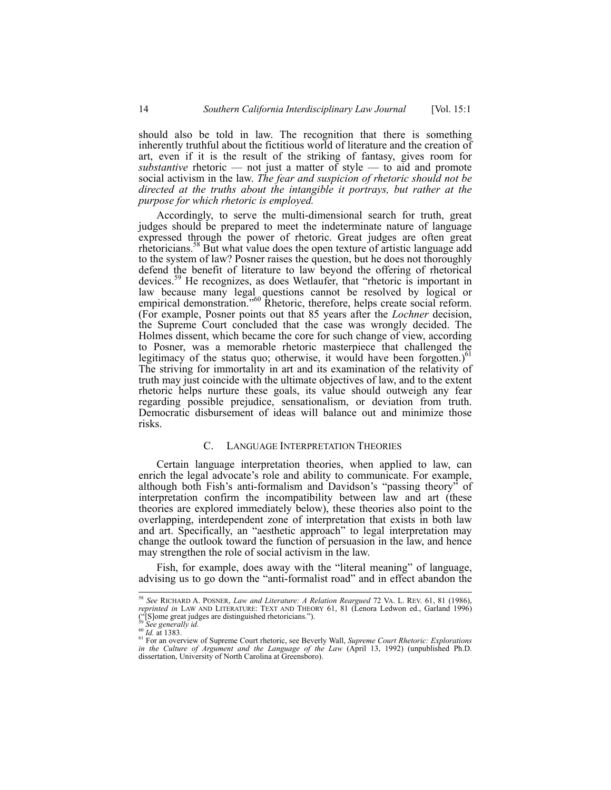should also be told in law. The recognition that there is something inherently truthful about the fictitious world of literature and the creation of art, even if it is the result of the striking of fantasy, gives room for *substantive* rhetoric — not just a matter of style — to aid and promote social activism in the law. *The fear and suspicion of rhetoric should not be directed at the truths about the intangible it portrays, but rather at the purpose for which rhetoric is employed.* 

Accordingly, to serve the multi-dimensional search for truth, great judges should be prepared to meet the indeterminate nature of language expressed through the power of rhetoric. Great judges are often great rhetoricians.<sup>58</sup> But what value does the open texture of artistic language add to the system of law? Posner raises the question, but he does not thoroughly defend the benefit of literature to law beyond the offering of rhetorical devices.59 He recognizes, as does Wetlaufer, that "rhetoric is important in law because many legal questions cannot be resolved by logical or empirical demonstration."<sup>60</sup> Rhetoric, therefore, helps create social reform. (For example, Posner points out that 85 years after the *Lochner* decision, the Supreme Court concluded that the case was wrongly decided. The Holmes dissent, which became the core for such change of view, according to Posner, was a memorable rhetoric masterpiece that challenged the legitimacy of the status quo; otherwise, it would have been forgotten.) $61$ The striving for immortality in art and its examination of the relativity of truth may just coincide with the ultimate objectives of law, and to the extent rhetoric helps nurture these goals, its value should outweigh any fear regarding possible prejudice, sensationalism, or deviation from truth. Democratic disbursement of ideas will balance out and minimize those risks.

#### C. LANGUAGE INTERPRETATION THEORIES

Certain language interpretation theories, when applied to law, can enrich the legal advocate's role and ability to communicate. For example, although both Fish's anti-formalism and Davidson's "passing theory" of interpretation confirm the incompatibility between law and art (these theories are explored immediately below), these theories also point to the overlapping, interdependent zone of interpretation that exists in both law and art. Specifically, an "aesthetic approach" to legal interpretation may change the outlook toward the function of persuasion in the law, and hence may strengthen the role of social activism in the law.

Fish, for example, does away with the "literal meaning" of language, advising us to go down the "anti-formalist road" and in effect abandon the

 <sup>58</sup> *See* RICHARD A. POSNER, *Law and Literature: A Relation Reargued* 72 VA. L. REV. 61, 81 (1986), *reprinted in* LAW AND LITERATURE: TEXT AND THEORY 61, 81 (Lenora Ledwon ed., Garland 1996) ("[S]ome great judges are distinguished rhetoricians.").<br><sup>90</sup> See generally *id.*<br><sup>60</sup> Id. at 1383.

<sup>&</sup>lt;sup>61</sup> For an overview of Supreme Court rhetoric, see Beverly Wall, *Supreme Court Rhetoric: Explorations* <sup>61</sup> *in the Culture of Argument and the Language of the Law* (April 13, 1992) (unpublished Ph.D. dissertation, University of North Carolina at Greensboro).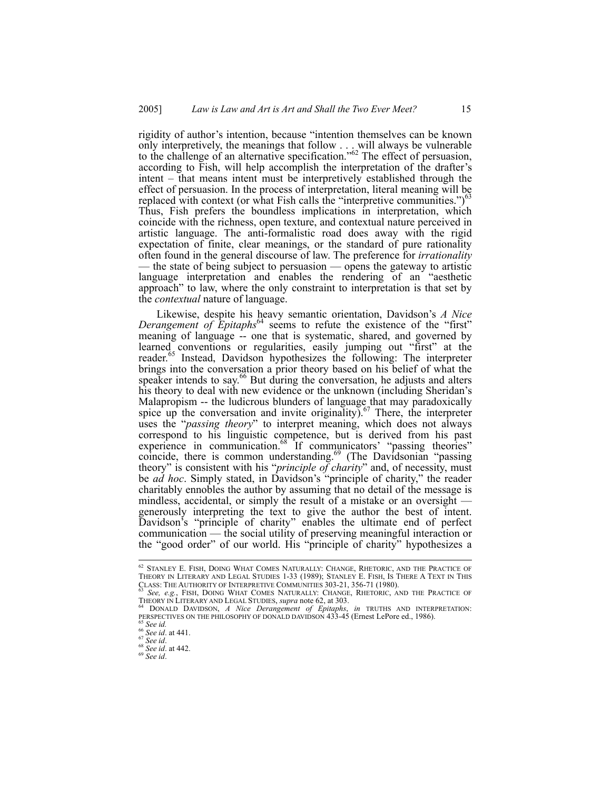rigidity of author's intention, because "intention themselves can be known only interpretively, the meanings that follow . . . will always be vulnerable to the challenge of an alternative specification."<sup>62</sup> The effect of persuasion, according to Fish, will help accomplish the interpretation of the drafter's intent – that means intent must be interpretively established through the effect of persuasion. In the process of interpretation, literal meaning will be replaced with context (or what Fish calls the "interpretive communities.") $\frac{3}{5}$ Thus, Fish prefers the boundless implications in interpretation, which coincide with the richness, open texture, and contextual nature perceived in artistic language. The anti-formalistic road does away with the rigid expectation of finite, clear meanings, or the standard of pure rationality often found in the general discourse of law. The preference for *irrationality*  — the state of being subject to persuasion — opens the gateway to artistic language interpretation and enables the rendering of an "aesthetic approach" to law, where the only constraint to interpretation is that set by the *contextual* nature of language.

Likewise, despite his heavy semantic orientation, Davidson's *A Nice Derangement of Epitaphs*<sup>64</sup> seems to refute the existence of the "first" meaning of language -- one that is systematic, shared, and governed by learned conventions or regularities, easily jumping out "first" at the reader.<sup>65</sup> Instead, Davidson hypothesizes the following: The interpreter brings into the conversation a prior theory based on his belief of what the speaker intends to say.<sup>66</sup> But during the conversation, he adjusts and alters his theory to deal with new evidence or the unknown (including Sheridan's Malapropism -- the ludicrous blunders of language that may paradoxically spice up the conversation and invite originality). $67$  There, the interpreter uses the "*passing theory*" to interpret meaning, which does not always correspond to his linguistic competence, but is derived from his past experience in communication.<sup>68</sup> If communicators' "passing theories" coincide, there is common understanding.<sup>69</sup> (The Davidsonian "passing theory" is consistent with his "*principle of charity*" and, of necessity, must be *ad hoc*. Simply stated, in Davidson's "principle of charity," the reader charitably ennobles the author by assuming that no detail of the message is mindless, accidental, or simply the result of a mistake or an oversight generously interpreting the text to give the author the best of intent. Davidson's "principle of charity" enables the ultimate end of perfect communication — the social utility of preserving meaningful interaction or the "good order" of our world. His "principle of charity" hypothesizes a

THEORY IN LITERARY AND LEGAL STUDIES, *supra* note 62, at 303.<br><sup>64</sup> DONALD DAVIDSON, *A Nice Derangement of Epitaphs*, *in* TRUTHS AND INTERPRETATION:

PERSPECTIVES ON THE PHILOSOPHY OF DONALD DAVIDSON 433-45 (Ernest LePore ed., 1986).<br>
<sup>65</sup> *See id.* at 441.<br>
<sup>67</sup> *See id.* at 441.<br>
<sup>67</sup> *See id.* at 442.<br>
<sup>69</sup> *See id.* 68 *See id.* 

<sup>&</sup>lt;sup>62</sup> Stanley E. Fish, Doing What Comes Naturally: Change, Rhetoric, and the Practice of<br>Theory in Literary and Legal Studies 1-33 (1989); Stanley E. Fish, Is There A Text in This CLASS: THE AUTHORITY OF INTERPRETIVE COMMUNITIES 303-21, 356-71 (1980). 63 *See, e.g.*, FISH, DOING WHAT COMES NATURALLY: CHANGE, RHETORIC, AND THE PRACTICE OF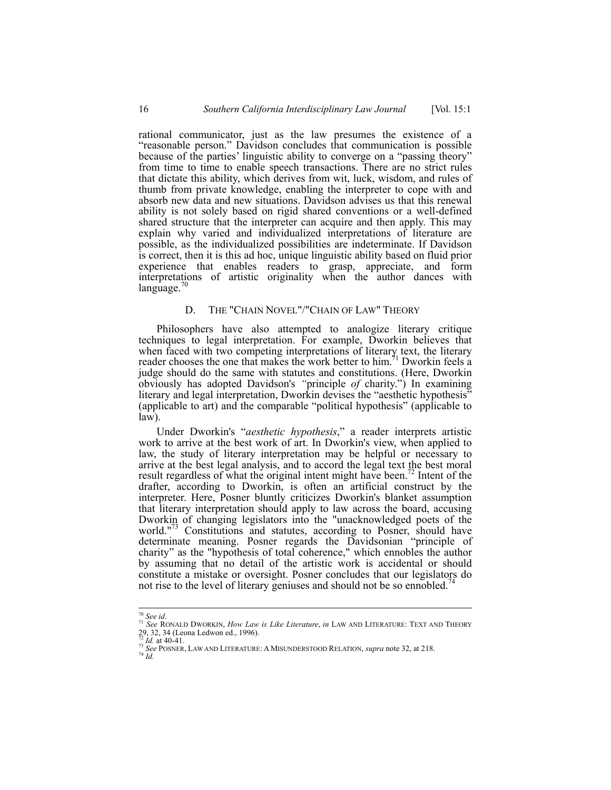rational communicator, just as the law presumes the existence of a "reasonable person." Davidson concludes that communication is possible because of the parties' linguistic ability to converge on a "passing theory" from time to time to enable speech transactions. There are no strict rules that dictate this ability, which derives from wit, luck, wisdom, and rules of thumb from private knowledge, enabling the interpreter to cope with and absorb new data and new situations. Davidson advises us that this renewal ability is not solely based on rigid shared conventions or a well-defined shared structure that the interpreter can acquire and then apply. This may explain why varied and individualized interpretations of literature are possible, as the individualized possibilities are indeterminate. If Davidson is correct, then it is this ad hoc, unique linguistic ability based on fluid prior experience that enables readers to grasp, appreciate, and form interpretations of artistic originality when the author dances with  $language.$ <sup>70</sup>

## D. THE "CHAIN NOVEL"/"CHAIN OF LAW" THEORY

Philosophers have also attempted to analogize literary critique techniques to legal interpretation. For example, Dworkin believes that when faced with two competing interpretations of literary text, the literary reader chooses the one that makes the work better to him.<sup>71</sup> Dworkin feels a judge should do the same with statutes and constitutions. (Here, Dworkin obviously has adopted Davidson's *"*principle *of* charity.") In examining literary and legal interpretation, Dworkin devises the "aesthetic hypothesis" (applicable to art) and the comparable "political hypothesis" (applicable to law).

Under Dworkin's "*aesthetic hypothesis*," a reader interprets artistic work to arrive at the best work of art. In Dworkin's view, when applied to law, the study of literary interpretation may be helpful or necessary to arrive at the best legal analysis, and to accord the legal text the best moral result regardless of what the original intent might have been.<sup> $\alpha$ </sup> Intent of the drafter, according to Dworkin, is often an artificial construct by the interpreter. Here, Posner bluntly criticizes Dworkin's blanket assumption that literary interpretation should apply to law across the board, accusing Dworkin of changing legislators into the "unacknowledged poets of the world."<sup>73</sup> Constitutions and statutes, according to Posner, should have determinate meaning. Posner regards the Davidsonian "principle of charity" as the "hypothesis of total coherence," which ennobles the author by assuming that no detail of the artistic work is accidental or should constitute a mistake or oversight. Posner concludes that our legislators do not rise to the level of literary geniuses and should not be so ennobled.<sup>7</sup>

<sup>70</sup> *See id*. 71 *See* RONALD DWORKIN, *How Law is Like Literature*, *in* LAW AND LITERATURE: TEXT AND THEORY 29, 32, 34 (Leona Ledwon ed., 1996).<br> $^{72}$  *Id.* at 40-41.

*T3 See* POSNER, LAW AND LITERATURE: A MISUNDERSTOOD RELATION, *supra* note 32, at 218. <sup>74</sup> *Id*.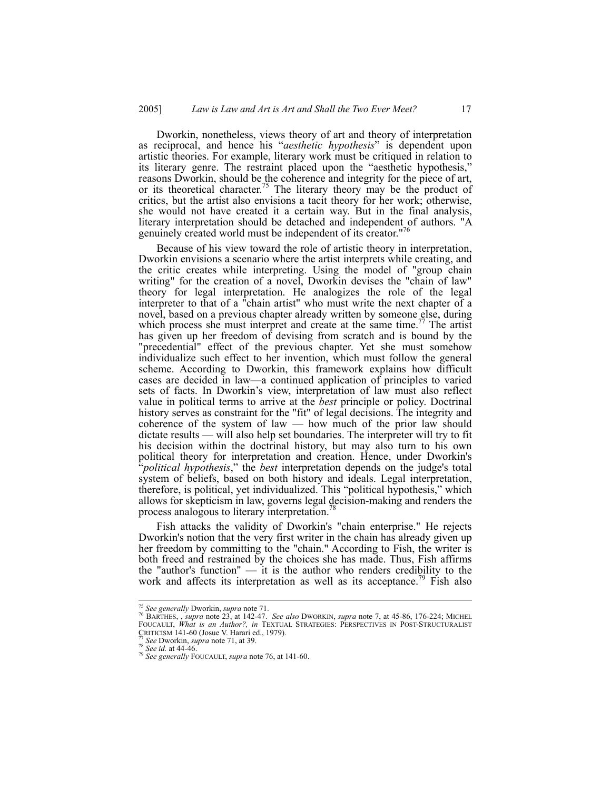Dworkin, nonetheless, views theory of art and theory of interpretation as reciprocal, and hence his "*aesthetic hypothesis*" is dependent upon artistic theories. For example, literary work must be critiqued in relation to its literary genre. The restraint placed upon the "aesthetic hypothesis," reasons Dworkin, should be the coherence and integrity for the piece of art, or its theoretical character.<sup>75</sup> The literary theory may be the product of critics, but the artist also envisions a tacit theory for her work; otherwise, she would not have created it a certain way. But in the final analysis, literary interpretation should be detached and independent of authors. "A genuinely created world must be independent of its creator."

Because of his view toward the role of artistic theory in interpretation, Dworkin envisions a scenario where the artist interprets while creating, and the critic creates while interpreting. Using the model of "group chain writing" for the creation of a novel, Dworkin devises the "chain of law" theory for legal interpretation. He analogizes the role of the legal interpreter to that of a "chain artist" who must write the next chapter of a novel, based on a previous chapter already written by someone else, during which process she must interpret and create at the same time.<sup>77</sup> The artist has given up her freedom of devising from scratch and is bound by the "precedential" effect of the previous chapter. Yet she must somehow individualize such effect to her invention, which must follow the general scheme. According to Dworkin, this framework explains how difficult cases are decided in law—a continued application of principles to varied sets of facts. In Dworkin's view, interpretation of law must also reflect value in political terms to arrive at the *best* principle or policy. Doctrinal history serves as constraint for the "fit" of legal decisions. The integrity and coherence of the system of law — how much of the prior law should dictate results — will also help set boundaries. The interpreter will try to fit his decision within the doctrinal history, but may also turn to his own political theory for interpretation and creation. Hence, under Dworkin's "*political hypothesis*," the *best* interpretation depends on the judge's total system of beliefs, based on both history and ideals. Legal interpretation, therefore, is political, yet individualized. This "political hypothesis," which allows for skepticism in law, governs legal decision-making and renders the process analogous to literary interpretation.

Fish attacks the validity of Dworkin's "chain enterprise." He rejects Dworkin's notion that the very first writer in the chain has already given up her freedom by committing to the "chain." According to Fish, the writer is both freed and restrained by the choices she has made. Thus, Fish affirms the "author's function" — it is the author who renders credibility to the work and affects its interpretation as well as its acceptance.<sup> $\frac{1}{9}$ </sup> Fish also

<sup>&</sup>lt;sup>75</sup> See generally Dworkin, supra note 71.<br><sup>76</sup> BARTHES, , *supra* note 23, at 142-47. *See also* Dworkin, *supra* note 7, at 45-86, 176-224; MICHEL<br>FOUCAULT, *What is an Author?, in* TEXTUAL STRATEGIES: PERSPECTIVES IN P CRITICISM 141-60 (Josue V. Harari ed., 1979). 77 *See* Dworkin, *supra* note 71, at 39. 78 *See id.* at 44-46. 79 *See generally* FOUCAULT, *supra* note 76, at 141-60.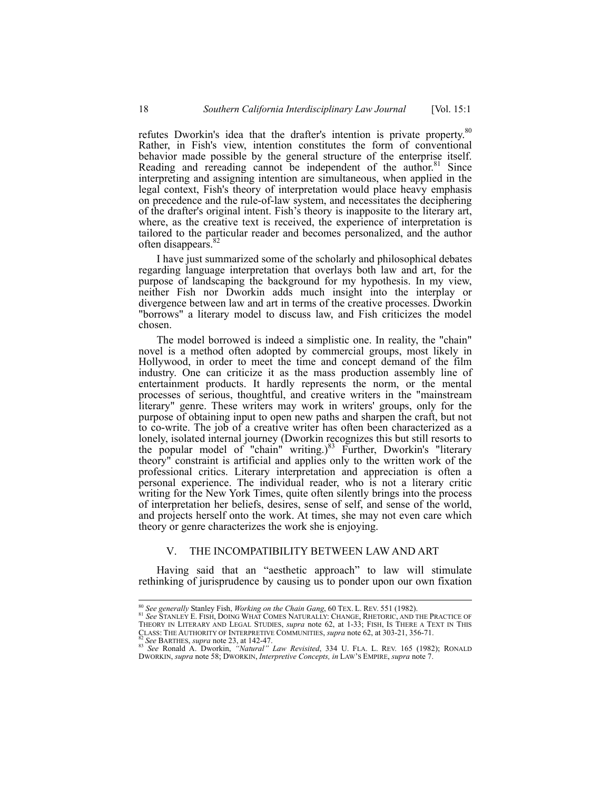refutes Dworkin's idea that the drafter's intention is private property.<sup>80</sup> Rather, in Fish's view, intention constitutes the form of conventional behavior made possible by the general structure of the enterprise itself. Reading and rereading cannot be independent of the author.<sup>81</sup> Since interpreting and assigning intention are simultaneous, when applied in the legal context, Fish's theory of interpretation would place heavy emphasis on precedence and the rule-of-law system, and necessitates the deciphering of the drafter's original intent. Fish's theory is inapposite to the literary art, where, as the creative text is received, the experience of interpretation is tailored to the particular reader and becomes personalized, and the author often disappears.<sup>82</sup>

I have just summarized some of the scholarly and philosophical debates regarding language interpretation that overlays both law and art, for the purpose of landscaping the background for my hypothesis. In my view, neither Fish nor Dworkin adds much insight into the interplay or divergence between law and art in terms of the creative processes. Dworkin "borrows" a literary model to discuss law, and Fish criticizes the model chosen.

The model borrowed is indeed a simplistic one. In reality, the "chain" novel is a method often adopted by commercial groups, most likely in Hollywood, in order to meet the time and concept demand of the film industry. One can criticize it as the mass production assembly line of entertainment products. It hardly represents the norm, or the mental processes of serious, thoughtful, and creative writers in the "mainstream literary" genre. These writers may work in writers' groups, only for the purpose of obtaining input to open new paths and sharpen the craft, but not to co-write. The job of a creative writer has often been characterized as a lonely, isolated internal journey (Dworkin recognizes this but still resorts to the popular model of "chain" writing.)<sup>83</sup> Further, Dworkin's "literary theory" constraint is artificial and applies only to the written work of the professional critics. Literary interpretation and appreciation is often a personal experience. The individual reader, who is not a literary critic writing for the New York Times, quite often silently brings into the process of interpretation her beliefs, desires, sense of self, and sense of the world, and projects herself onto the work. At times, she may not even care which theory or genre characterizes the work she is enjoying.

#### V. THE INCOMPATIBILITY BETWEEN LAW AND ART

Having said that an "aesthetic approach" to law will stimulate rethinking of jurisprudence by causing us to ponder upon our own fixation

<sup>&</sup>lt;sup>80</sup> *See generally Stanley Fish, Working on the Chain Gang, 60 TEX. L. REV. 551 (1982).*<br><sup>81</sup> *See Stanley E. Fish, Doing What Comes Naturally: Change, Rhetoric, and the Practice of<br>Theory in Literary and Legal Studies, <i>* CLASS: THE AUTOMATY ON EXAMENTION, supra note 02, at 1-33; FISH, IS THERE A TEXT IN THIS CLASS: THE AUTHORITY OF INTERPRETIVE COMMUNITIES, *supra* note 62, at 303-21, 356-71.<br><sup>82</sup> See BARTHES, supra note 23, at 142-47.<br><sup>83</sup>

DWORKIN, *supra* note 58; DWORKIN, *Interpretive Concepts, in* LAW'S EMPIRE, *supra* note 7.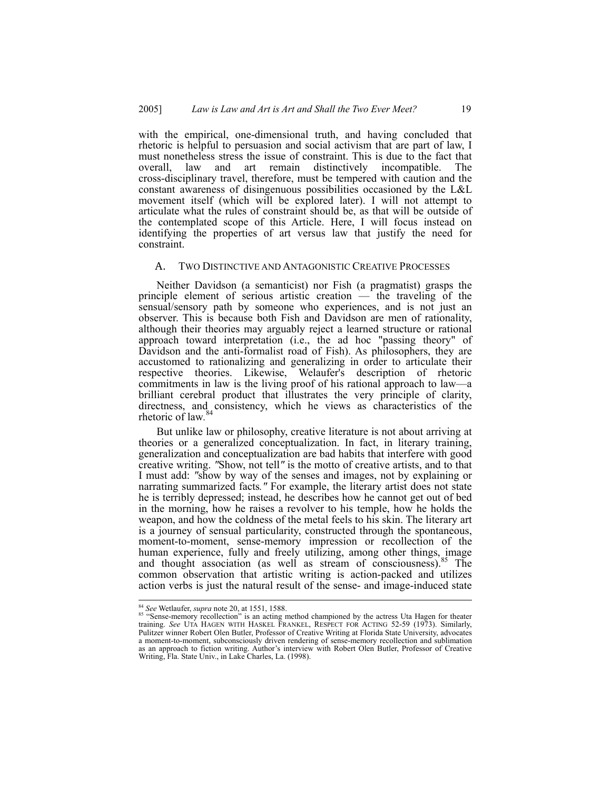with the empirical, one-dimensional truth, and having concluded that rhetoric is helpful to persuasion and social activism that are part of law, I must nonetheless stress the issue of constraint. This is due to the fact that overall, law and art remain distinctively incompatible. The cross-disciplinary travel, therefore, must be tempered with caution and the constant awareness of disingenuous possibilities occasioned by the L&L movement itself (which will be explored later). I will not attempt to articulate what the rules of constraint should be, as that will be outside of the contemplated scope of this Article. Here, I will focus instead on identifying the properties of art versus law that justify the need for constraint.

#### A. TWO DISTINCTIVE AND ANTAGONISTIC CREATIVE PROCESSES

Neither Davidson (a semanticist) nor Fish (a pragmatist) grasps the principle element of serious artistic creation — the traveling of the sensual/sensory path by someone who experiences, and is not just an observer. This is because both Fish and Davidson are men of rationality, although their theories may arguably reject a learned structure or rational approach toward interpretation (i.e., the ad hoc "passing theory" of Davidson and the anti-formalist road of Fish). As philosophers, they are accustomed to rationalizing and generalizing in order to articulate their respective theories. Likewise, Welaufer's description of rhetoric commitments in law is the living proof of his rational approach to law—a brilliant cerebral product that illustrates the very principle of clarity, directness, and consistency, which he views as characteristics of the rhoton of low  $84$ rhetoric of law*.*

But unlike law or philosophy, creative literature is not about arriving at theories or a generalized conceptualization. In fact, in literary training, generalization and conceptualization are bad habits that interfere with good creative writing. *"*Show, not tell*"* is the motto of creative artists, and to that I must add: *"*show by way of the senses and images, not by explaining or narrating summarized facts*."* For example, the literary artist does not state he is terribly depressed; instead, he describes how he cannot get out of bed in the morning, how he raises a revolver to his temple, how he holds the weapon, and how the coldness of the metal feels to his skin. The literary art is a journey of sensual particularity, constructed through the spontaneous, moment-to-moment, sense-memory impression or recollection of the human experience, fully and freely utilizing, among other things, image and thought association (as well as stream of consciousness).<sup>85</sup> The common observation that artistic writing is action-packed and utilizes action verbs is just the natural result of the sense- and image-induced state

<sup>&</sup>lt;sup>84</sup> See Wetlaufer, *supra* note 20, at 1551, 1588.<br><sup>85</sup> "Sense-memory recollection" is an acting method championed by the actress Uta Hagen for theater<br>training. See UTA HAGEN WITH HASKEL FRANKEL, RESPECT FOR ACTING 52-59 Pulitzer winner Robert Olen Butler, Professor of Creative Writing at Florida State University, advocates a moment-to-moment, subconsciously driven rendering of sense-memory recollection and sublimation as an approach to fiction writing. Author's interview with Robert Olen Butler, Professor of Creative Writing, Fla. State Univ., in Lake Charles, La. (1998).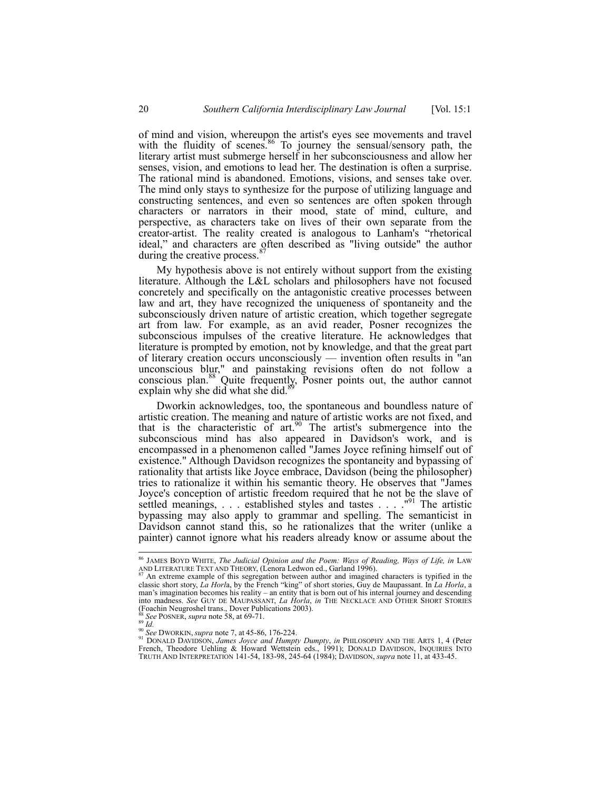of mind and vision, whereupon the artist's eyes see movements and travel with the fluidity of scenes.<sup>86</sup> To journey the sensual/sensory path, the literary artist must submerge herself in her subconsciousness and allow her senses, vision, and emotions to lead her. The destination is often a surprise. The rational mind is abandoned. Emotions, visions, and senses take over. The mind only stays to synthesize for the purpose of utilizing language and constructing sentences, and even so sentences are often spoken through characters or narrators in their mood, state of mind, culture, and perspective, as characters take on lives of their own separate from the creator-artist. The reality created is analogous to Lanham's "rhetorical ideal," and characters are often described as "living outside" the author during the creative process.<sup>8</sup>

My hypothesis above is not entirely without support from the existing literature. Although the L&L scholars and philosophers have not focused concretely and specifically on the antagonistic creative processes between law and art, they have recognized the uniqueness of spontaneity and the subconsciously driven nature of artistic creation, which together segregate art from law. For example, as an avid reader, Posner recognizes the subconscious impulses of the creative literature. He acknowledges that literature is prompted by emotion, not by knowledge, and that the great part of literary creation occurs unconsciously — invention often results in "an unconscious blur," and painstaking revisions often do not follow a conscious plan.<sup>88</sup> Quite frequently, Posner points out, the author cannot explain why she did what she did.<sup>8</sup>

Dworkin acknowledges, too, the spontaneous and boundless nature of artistic creation. The meaning and nature of artistic works are not fixed, and that is the characteristic of  $art.^{90}$ . The artist's submergence into the subconscious mind has also appeared in Davidson's work, and is encompassed in a phenomenon called "James Joyce refining himself out of existence." Although Davidson recognizes the spontaneity and bypassing of rationality that artists like Joyce embrace, Davidson (being the philosopher) tries to rationalize it within his semantic theory. He observes that "James Joyce's conception of artistic freedom required that he not be the slave of settled meanings,  $\ldots$  established styles and tastes  $\ldots$ . "<sup>91</sup> The artistic bypassing may also apply to grammar and spelling. The semanticist in Davidson cannot stand this, so he rationalizes that the writer (unlike a painter) cannot ignore what his readers already know or assume about the

<sup>&</sup>lt;sup>86</sup> JAMES BOYD WHITE, *The Judicial Opinion and the Poem: Ways of Reading, Ways of Life, in LAW*<br>AND LITERATURE TEXT AND THEORY, (Lenora Ledwon ed., Garland 1996).

An extreme example of this segregation between author and imagined characters is typified in the classic short story, *La Horl*a, by the French "king" of short stories, Guy de Maupassant. In *La Horla*, a man's imagination becomes his reality – an entity that is born out of his internal journey and descending into madness. *See* GUY DE MAUPASSANT, *La Horla*, *in* THE NECKLACE AND OTHER SHORT STORIES (Foachin Neugroshel trans., Dover Publications 2003).<br><sup>88</sup> See POSNER, *supra* note 58, at 69-71.<br><sup>90</sup> *Id.*<br><sup>90</sup> See DWORKIN, *supra* note 7, at 45-86, 176-224.

<sup>&</sup>lt;sup>88</sup> See POSNER, supra note 58, at 69-71.<br><sup>99</sup> Id.<br><sup>91</sup> See DWORKIN, supra note 7, at 45-86, 176-224.<br><sup>91</sup> DONALD DAVIDSON, *James Joyce and Humpty Dumpty*, in PHILOSOPHY AND THE ARTS 1, 4 (Peter<br>French, Theodore Uehling & TRUTH AND INTERPRETATION 141-54, 183-98, 245-64 (1984); DAVIDSON, *supra* note 11, at 433-45.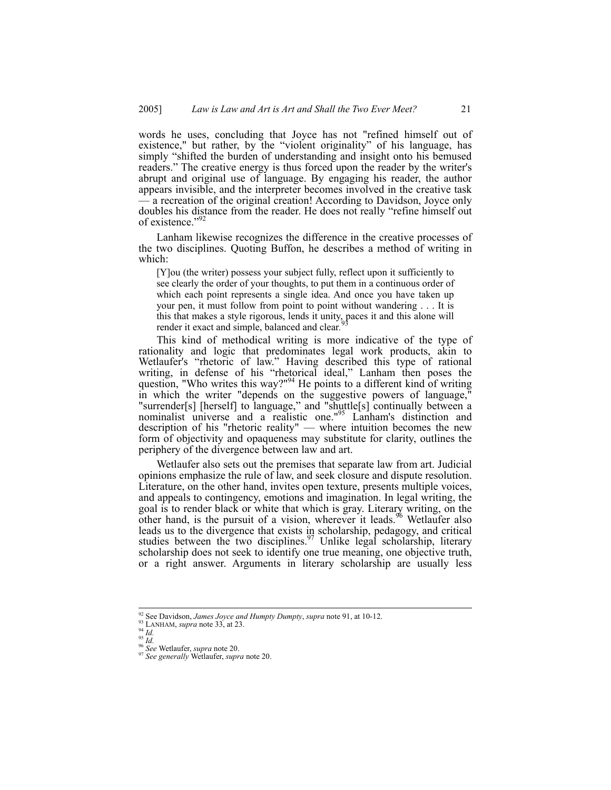words he uses, concluding that Joyce has not "refined himself out of existence," but rather, by the "violent originality" of his language, has simply "shifted the burden of understanding and insight onto his bemused readers." The creative energy is thus forced upon the reader by the writer's abrupt and original use of language. By engaging his reader, the author appears invisible, and the interpreter becomes involved in the creative task — a recreation of the original creation! According to Davidson, Joyce only doubles his distance from the reader. He does not really "refine himself out of existence."

Lanham likewise recognizes the difference in the creative processes of the two disciplines. Quoting Buffon, he describes a method of writing in which:

[Y]ou (the writer) possess your subject fully, reflect upon it sufficiently to see clearly the order of your thoughts, to put them in a continuous order of which each point represents a single idea. And once you have taken up your pen, it must follow from point to point without wandering . . . It is this that makes a style rigorous, lends it unity, paces it and this alone will reader it and simple belonged and clear  $\frac{93}{2}$ render it exact and simple, balanced and clear*.*

This kind of methodical writing is more indicative of the type of rationality and logic that predominates legal work products, akin to Wetlaufer's "rhetoric of law." Having described this type of rational writing, in defense of his "rhetorical ideal," Lanham then poses the question, "Who writes this way?"<sup>94</sup> He points to a different kind of writing in which the writer "depends on the suggestive powers of language," "surrender[s] [herself] to language," and "shuttle[s] continually between a nominalist universe and a realistic one."<sup>95</sup> Lanham's distinction and description of his "rhetoric reality" — where intuition becomes the new form of objectivity and opaqueness may substitute for clarity, outlines the periphery of the divergence between law and art.

Wetlaufer also sets out the premises that separate law from art. Judicial opinions emphasize the rule of law, and seek closure and dispute resolution. Literature, on the other hand, invites open texture, presents multiple voices, and appeals to contingency, emotions and imagination. In legal writing, the goal is to render black or white that which is gray. Literary writing, on the other hand, is the pursuit of a vision, wherever it leads.<sup>96</sup> Wetlaufer also leads us to the divergence that exists in scholarship, pedagogy, and critical studies between the two disciplines.<sup>97</sup> Unlike legal scholarship, literary scholarship does not seek to identify one true meaning, one objective truth, or a right answer. Arguments in literary scholarship are usually less

<sup>&</sup>lt;sup>92</sup> See Davidson, *James Joyce and Humpty Dumpty*, *supra* note 91, at 10-12.<br><sup>93</sup> LANHAM, *supra* note 33, at 23.<br><sup>95</sup> *Id.*<br><sup>95</sup> See Wetlaufer, *supra* note 20.<br><sup>97</sup> See generally Wetlaufer, *supra* note 20.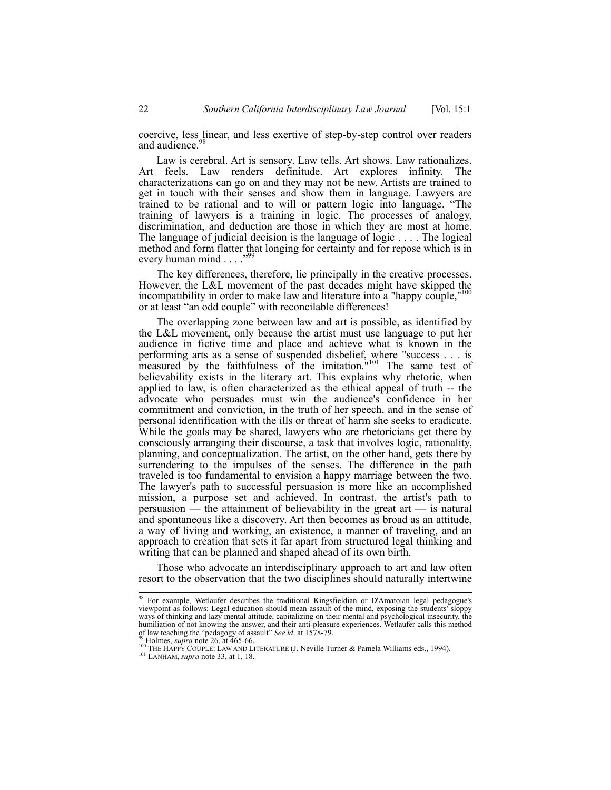coercive, less linear, and less exertive of step-by-step control over readers and audience.<sup>9</sup>

Law is cerebral. Art is sensory. Law tells. Art shows. Law rationalizes. Art feels. Law renders definitude. Art explores infinity. The characterizations can go on and they may not be new. Artists are trained to get in touch with their senses and show them in language. Lawyers are trained to be rational and to will or pattern logic into language. "The training of lawyers is a training in logic. The processes of analogy, discrimination, and deduction are those in which they are most at home. The language of judicial decision is the language of logic . . . . The logical method and form flatter that longing for certainty and for repose which is in every human mind . . . ."

The key differences, therefore, lie principally in the creative processes. However, the L&L movement of the past decades might have skipped the incompatibility in order to make law and literature into a "happy couple,"<sup>100</sup> or at least "an odd couple" with reconcilable differences!

The overlapping zone between law and art is possible, as identified by the L&L movement, only because the artist must use language to put her audience in fictive time and place and achieve what is known in the performing arts as a sense of suspended disbelief, where "success . . . is measured by the faithfulness of the imitation. $101$  The same test of believability exists in the literary art. This explains why rhetoric, when applied to law, is often characterized as the ethical appeal of truth -- the advocate who persuades must win the audience's confidence in her commitment and conviction, in the truth of her speech, and in the sense of personal identification with the ills or threat of harm she seeks to eradicate. While the goals may be shared, lawyers who are rhetoricians get there by consciously arranging their discourse, a task that involves logic, rationality, planning, and conceptualization. The artist, on the other hand, gets there by surrendering to the impulses of the senses. The difference in the path traveled is too fundamental to envision a happy marriage between the two. The lawyer's path to successful persuasion is more like an accomplished mission, a purpose set and achieved. In contrast, the artist's path to persuasion — the attainment of believability in the great art — is natural and spontaneous like a discovery. Art then becomes as broad as an attitude, a way of living and working, an existence, a manner of traveling, and an approach to creation that sets it far apart from structured legal thinking and writing that can be planned and shaped ahead of its own birth.

Those who advocate an interdisciplinary approach to art and law often resort to the observation that the two disciplines should naturally intertwine

 <sup>98</sup> For example, Wetlaufer describes the traditional Kingsfieldian or D'Amatoian legal pedagogue's viewpoint as follows: Legal education should mean assault of the mind, exposing the students' sloppy ways of thinking and lazy mental attitude, capitalizing on their mental and psychological insecurity, the humiliation of not knowing the answer, and their anti-pleasure experiences. Wetlaufer calls this method of law teaching the "pedagogy of assault" See id. at 1578-79.<br><sup>39</sup> Holmes, *supra* note 26, at 465-66.<br><sup>100</sup> THE HAPPY COUPLE: LAW AND LITERATURE (J. Neville Turner & Pamela Williams eds., 1994).<br><sup>101</sup> LANHAM, *supra* not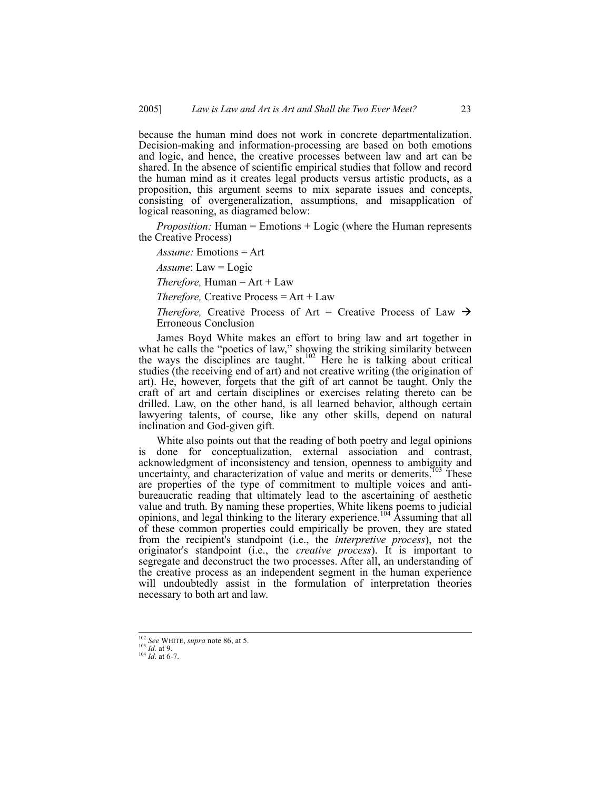because the human mind does not work in concrete departmentalization. Decision-making and information-processing are based on both emotions and logic, and hence, the creative processes between law and art can be shared. In the absence of scientific empirical studies that follow and record the human mind as it creates legal products versus artistic products, as a proposition, this argument seems to mix separate issues and concepts, consisting of overgeneralization, assumptions, and misapplication of logical reasoning, as diagramed below:

*Proposition:* Human = Emotions + Logic (where the Human represents the Creative Process)

*Assume:* Emotions = Art

*Assume*: Law = Logic

*Therefore,* Human =  $Art + Law$ 

*Therefore,* Creative Process = Art + Law

*Therefore,* Creative Process of Art = Creative Process of Law  $\rightarrow$ Erroneous Conclusion

James Boyd White makes an effort to bring law and art together in what he calls the "poetics of law," showing the striking similarity between the ways the disciplines are taught.<sup>102</sup> Here he is talking about critical studies (the receiving end of art) and not creative writing (the origination of art). He, however, forgets that the gift of art cannot be taught. Only the craft of art and certain disciplines or exercises relating thereto can be drilled. Law, on the other hand, is all learned behavior, although certain lawyering talents, of course, like any other skills, depend on natural inclination and God-given gift.

White also points out that the reading of both poetry and legal opinions is done for conceptualization, external association and contrast, acknowledgment of inconsistency and tension, openness to ambiguity and uncertainty, and characterization of value and merits or demerits.<sup> $103$ </sup> These are properties of the type of commitment to multiple voices and antibureaucratic reading that ultimately lead to the ascertaining of aesthetic value and truth. By naming these properties, White likens poems to judicial opinions, and legal thinking to the literary experience.104 Assuming that all of these common properties could empirically be proven, they are stated from the recipient's standpoint (i.e., the *interpretive process*), not the originator's standpoint (i.e., the *creative process*). It is important to segregate and deconstruct the two processes. After all, an understanding of the creative process as an independent segment in the human experience will undoubtedly assist in the formulation of interpretation theories necessary to both art and law.

<sup>102</sup> *See* WHITE, *supra* note 86, at 5. 103 *Id.* at 9. 104 *Id.* at 6-7.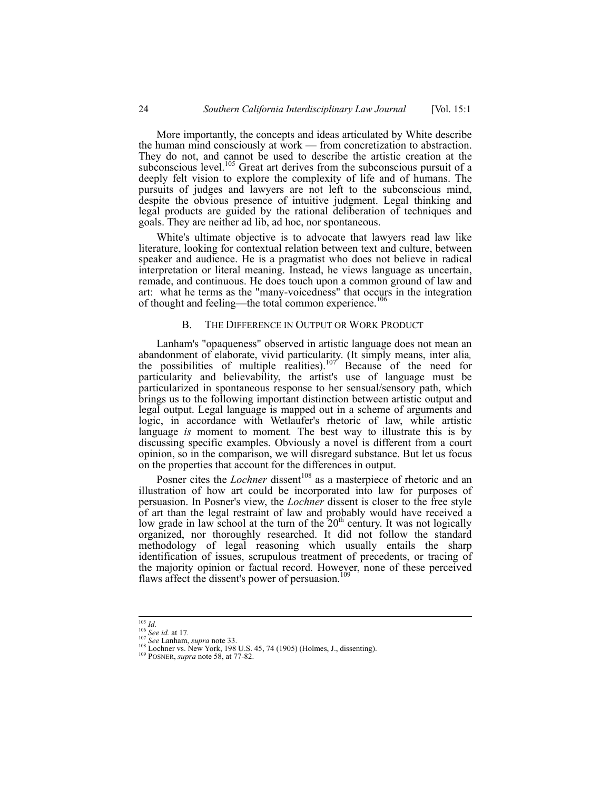More importantly, the concepts and ideas articulated by White describe the human mind consciously at work — from concretization to abstraction. They do not, and cannot be used to describe the artistic creation at the subconscious level.<sup>105</sup> Great art derives from the subconscious pursuit of a deeply felt vision to explore the complexity of life and of humans. The pursuits of judges and lawyers are not left to the subconscious mind, despite the obvious presence of intuitive judgment. Legal thinking and legal products are guided by the rational deliberation of techniques and goals. They are neither ad lib, ad hoc, nor spontaneous.

White's ultimate objective is to advocate that lawyers read law like literature, looking for contextual relation between text and culture, between speaker and audience. He is a pragmatist who does not believe in radical interpretation or literal meaning. Instead, he views language as uncertain, remade, and continuous. He does touch upon a common ground of law and art: what he terms as the "many-voicedness" that occurs in the integration of thought and feeling—the total common experience.<sup>106</sup>

#### B. THE DIFFERENCE IN OUTPUT OR WORK PRODUCT

Lanham's "opaqueness" observed in artistic language does not mean an abandonment of elaborate, vivid particularity. (It simply means, inter alia*,*  the possibilities of multiple realities).<sup>107</sup> Because of the need for particularity and believability, the artist's use of language must be particularized in spontaneous response to her sensual/sensory path, which brings us to the following important distinction between artistic output and legal output. Legal language is mapped out in a scheme of arguments and logic, in accordance with Wetlaufer's rhetoric of law, while artistic language *is* moment to moment*.* The best way to illustrate this is by discussing specific examples. Obviously a novel is different from a court opinion, so in the comparison, we will disregard substance. But let us focus on the properties that account for the differences in output.

Posner cites the *Lochner* dissent<sup>108</sup> as a masterpiece of rhetoric and an illustration of how art could be incorporated into law for purposes of persuasion. In Posner's view, the *Lochner* dissent is closer to the free style of art than the legal restraint of law and probably would have received a low grade in law school at the turn of the  $20<sup>th</sup>$  century. It was not logically organized, nor thoroughly researched. It did not follow the standard methodology of legal reasoning which usually entails the sharp identification of issues, scrupulous treatment of precedents, or tracing of the majority opinion or factual record. However, none of these perceived flaws affect the dissent's power of persuasion.<sup>109</sup>

<sup>&</sup>lt;sup>106</sup> *Id.* 106 *See id.* at 17.<br><sup>107</sup> *See Lanham, supra* note 33. 108 U.S. 45, 74 (1905) (Holmes, J., dissenting). 109 POSNER, *supra* note 58, at 77-82.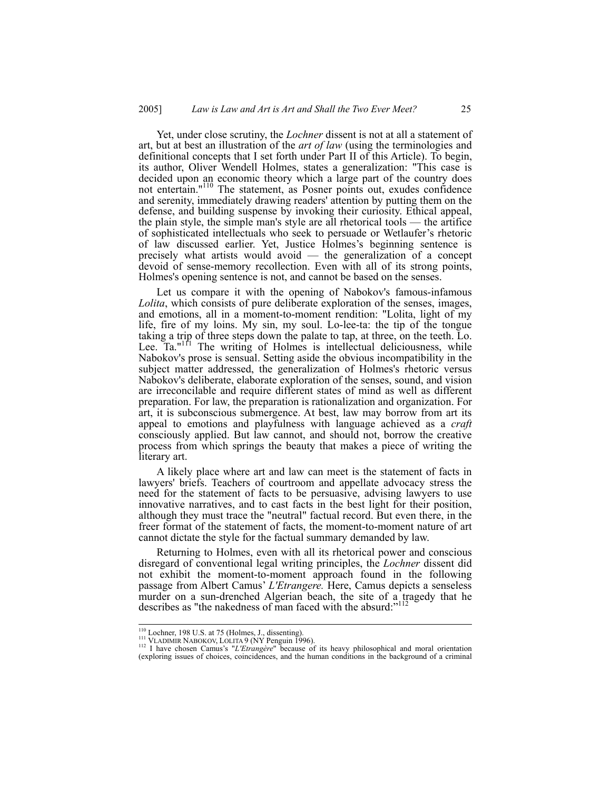Yet, under close scrutiny, the *Lochner* dissent is not at all a statement of art, but at best an illustration of the *art of law* (using the terminologies and definitional concepts that I set forth under Part II of this Article). To begin, its author, Oliver Wendell Holmes, states a generalization: "This case is decided upon an economic theory which a large part of the country does not entertain."<sup>110</sup> The statement, as Posner points out, exudes confidence and serenity, immediately drawing readers' attention by putting them on the defense, and building suspense by invoking their curiosity. Ethical appeal, the plain style, the simple man's style are all rhetorical tools — the artifice of sophisticated intellectuals who seek to persuade or Wetlaufer's rhetoric of law discussed earlier. Yet, Justice Holmes's beginning sentence is precisely what artists would avoid — the generalization of a concept devoid of sense-memory recollection. Even with all of its strong points, Holmes's opening sentence is not, and cannot be based on the senses.

Let us compare it with the opening of Nabokov's famous-infamous *Lolita*, which consists of pure deliberate exploration of the senses, images, and emotions, all in a moment-to-moment rendition: "Lolita, light of my life, fire of my loins. My sin, my soul. Lo-lee-ta: the tip of the tongue taking a trip of three steps down the palate to tap, at three, on the teeth. Lo. Lee. Ta."<sup>111</sup> The writing of Holmes is intellectual deliciousness, while Nabokov's prose is sensual. Setting aside the obvious incompatibility in the subject matter addressed, the generalization of Holmes's rhetoric versus Nabokov's deliberate, elaborate exploration of the senses, sound, and vision are irreconcilable and require different states of mind as well as different preparation. For law, the preparation is rationalization and organization. For art, it is subconscious submergence. At best, law may borrow from art its appeal to emotions and playfulness with language achieved as a *craft* consciously applied. But law cannot, and should not, borrow the creative process from which springs the beauty that makes a piece of writing the literary art.

A likely place where art and law can meet is the statement of facts in lawyers' briefs. Teachers of courtroom and appellate advocacy stress the need for the statement of facts to be persuasive, advising lawyers to use innovative narratives, and to cast facts in the best light for their position, although they must trace the "neutral" factual record. But even there, in the freer format of the statement of facts, the moment-to-moment nature of art cannot dictate the style for the factual summary demanded by law.

Returning to Holmes, even with all its rhetorical power and conscious disregard of conventional legal writing principles, the *Lochner* dissent did not exhibit the moment-to-moment approach found in the following passage from Albert Camus' *L'Etrangere.* Here, Camus depicts a senseless murder on a sun-drenched Algerian beach, the site of a tragedy that he describes as "the nakedness of man faced with the absurd:"<sup>112</sup>

 <sup>110</sup> Lochner, 198 U.S. at 75 (Holmes, J., dissenting). 111 VLADIMIR NABOKOV, LOLITA 9 (NY Penguin 1996). 112 I have chosen Camus's "*L'Etrangère*" because of its heavy philosophical and moral orientation (exploring issues of choices, coincidences, and the human conditions in the background of a criminal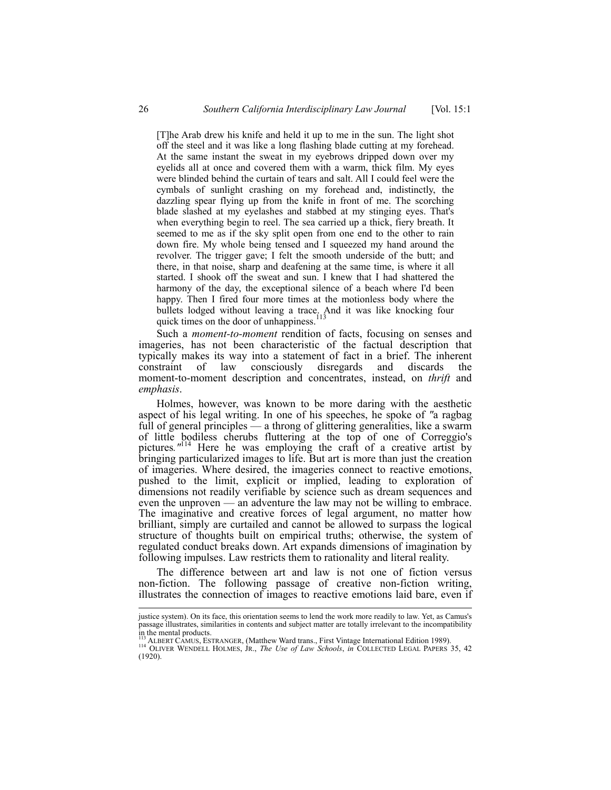[T]he Arab drew his knife and held it up to me in the sun. The light shot off the steel and it was like a long flashing blade cutting at my forehead. At the same instant the sweat in my eyebrows dripped down over my eyelids all at once and covered them with a warm, thick film. My eyes were blinded behind the curtain of tears and salt. All I could feel were the cymbals of sunlight crashing on my forehead and, indistinctly, the dazzling spear flying up from the knife in front of me. The scorching blade slashed at my eyelashes and stabbed at my stinging eyes. That's when everything begin to reel. The sea carried up a thick, fiery breath. It seemed to me as if the sky split open from one end to the other to rain down fire. My whole being tensed and I squeezed my hand around the revolver. The trigger gave; I felt the smooth underside of the butt; and there, in that noise, sharp and deafening at the same time, is where it all started. I shook off the sweat and sun. I knew that I had shattered the harmony of the day, the exceptional silence of a beach where I'd been happy. Then I fired four more times at the motionless body where the bullets lodged without leaving a trace. And it was like knocking four quick times on the door of unhappiness. $113$ 

Such a *moment-to-moment* rendition of facts, focusing on senses and imageries, has not been characteristic of the factual description that typically makes its way into a statement of fact in a brief. The inherent constraint of law consciously disregards and discards the moment-to-moment description and concentrates, instead, on *thrift* and *emphasis*.

Holmes, however, was known to be more daring with the aesthetic aspect of his legal writing. In one of his speeches, he spoke of *"*a ragbag full of general principles — a throng of glittering generalities, like a swarm of little bodiless cherubs fluttering at the top of one of Correggio's pictures*."*<sup>114</sup> Here he was employing the craft of a creative artist by bringing particularized images to life. But art is more than just the creation of imageries. Where desired, the imageries connect to reactive emotions, pushed to the limit, explicit or implied, leading to exploration of dimensions not readily verifiable by science such as dream sequences and even the unproven — an adventure the law may not be willing to embrace. The imaginative and creative forces of legal argument, no matter how brilliant, simply are curtailed and cannot be allowed to surpass the logical structure of thoughts built on empirical truths; otherwise, the system of regulated conduct breaks down. Art expands dimensions of imagination by following impulses. Law restricts them to rationality and literal reality.

The difference between art and law is not one of fiction versus non-fiction. The following passage of creative non-fiction writing, illustrates the connection of images to reactive emotions laid bare, even if

justice system). On its face, this orientation seems to lend the work more readily to law. Yet, as Camus's passage illustrates, similarities in contents and subject matter are totally irrelevant to the incompatibility in the mental products.

<sup>113</sup> ALBERT CAMUS, ESTRANGER, (Matthew Ward trans., First Vintage International Edition 1989).<br><sup>114</sup> OLIVER WENDELL HOLMES, JR., *The Use of Law Schools*, *in* COLLECTED LEGAL PAPERS 35, 42 (1920).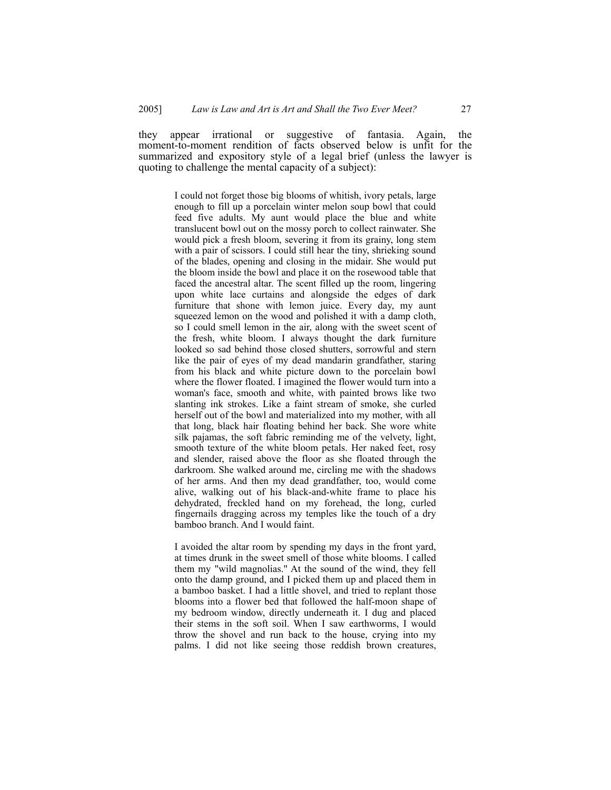they appear irrational or suggestive of fantasia. Again, the moment-to-moment rendition of facts observed below is unfit for the summarized and expository style of a legal brief (unless the lawyer is quoting to challenge the mental capacity of a subject):

> I could not forget those big blooms of whitish, ivory petals, large enough to fill up a porcelain winter melon soup bowl that could feed five adults. My aunt would place the blue and white translucent bowl out on the mossy porch to collect rainwater. She would pick a fresh bloom, severing it from its grainy, long stem with a pair of scissors. I could still hear the tiny, shrieking sound of the blades, opening and closing in the midair. She would put the bloom inside the bowl and place it on the rosewood table that faced the ancestral altar. The scent filled up the room, lingering upon white lace curtains and alongside the edges of dark furniture that shone with lemon juice. Every day, my aunt squeezed lemon on the wood and polished it with a damp cloth, so I could smell lemon in the air, along with the sweet scent of the fresh, white bloom. I always thought the dark furniture looked so sad behind those closed shutters, sorrowful and stern like the pair of eyes of my dead mandarin grandfather, staring from his black and white picture down to the porcelain bowl where the flower floated. I imagined the flower would turn into a woman's face, smooth and white, with painted brows like two slanting ink strokes. Like a faint stream of smoke, she curled herself out of the bowl and materialized into my mother, with all that long, black hair floating behind her back. She wore white silk pajamas, the soft fabric reminding me of the velvety, light, smooth texture of the white bloom petals. Her naked feet, rosy and slender, raised above the floor as she floated through the darkroom. She walked around me, circling me with the shadows of her arms. And then my dead grandfather, too, would come alive, walking out of his black-and-white frame to place his dehydrated, freckled hand on my forehead, the long, curled fingernails dragging across my temples like the touch of a dry bamboo branch. And I would faint.

> I avoided the altar room by spending my days in the front yard, at times drunk in the sweet smell of those white blooms. I called them my "wild magnolias." At the sound of the wind, they fell onto the damp ground, and I picked them up and placed them in a bamboo basket. I had a little shovel, and tried to replant those blooms into a flower bed that followed the half-moon shape of my bedroom window, directly underneath it. I dug and placed their stems in the soft soil. When I saw earthworms, I would throw the shovel and run back to the house, crying into my palms. I did not like seeing those reddish brown creatures,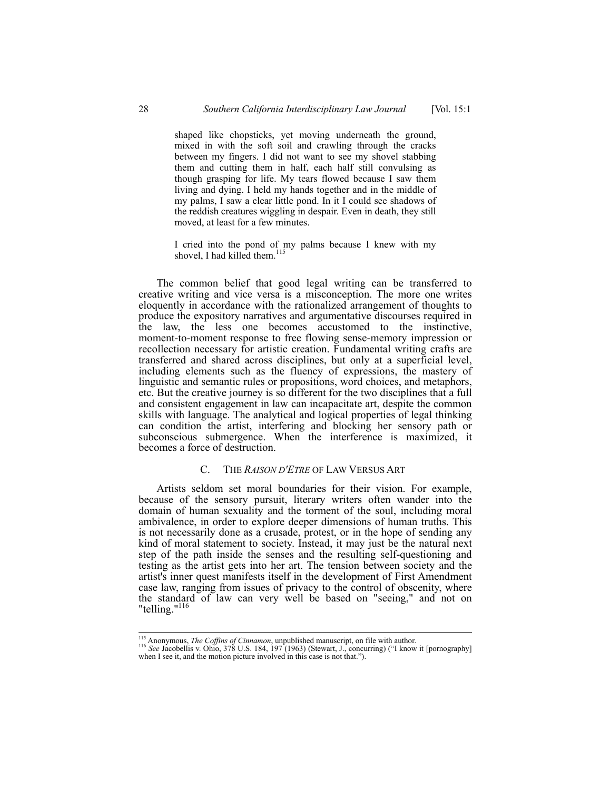shaped like chopsticks, yet moving underneath the ground, mixed in with the soft soil and crawling through the cracks between my fingers. I did not want to see my shovel stabbing them and cutting them in half, each half still convulsing as though grasping for life. My tears flowed because I saw them living and dying. I held my hands together and in the middle of my palms, I saw a clear little pond. In it I could see shadows of the reddish creatures wiggling in despair. Even in death, they still moved, at least for a few minutes.

I cried into the pond of my palms because I knew with my shovel, I had killed them.<sup>115</sup>

The common belief that good legal writing can be transferred to creative writing and vice versa is a misconception. The more one writes eloquently in accordance with the rationalized arrangement of thoughts to produce the expository narratives and argumentative discourses required in the law, the less one becomes accustomed to the instinctive, moment-to-moment response to free flowing sense-memory impression or recollection necessary for artistic creation. Fundamental writing crafts are transferred and shared across disciplines, but only at a superficial level, including elements such as the fluency of expressions, the mastery of linguistic and semantic rules or propositions, word choices, and metaphors, etc. But the creative journey is so different for the two disciplines that a full and consistent engagement in law can incapacitate art, despite the common skills with language. The analytical and logical properties of legal thinking can condition the artist, interfering and blocking her sensory path or subconscious submergence. When the interference is maximized, it becomes a force of destruction.

## C. THE *RAISON D'ETRE* OF LAW VERSUS ART

Artists seldom set moral boundaries for their vision. For example, because of the sensory pursuit, literary writers often wander into the domain of human sexuality and the torment of the soul, including moral ambivalence, in order to explore deeper dimensions of human truths. This is not necessarily done as a crusade, protest, or in the hope of sending any kind of moral statement to society. Instead, it may just be the natural next step of the path inside the senses and the resulting self-questioning and testing as the artist gets into her art. The tension between society and the artist's inner quest manifests itself in the development of First Amendment case law, ranging from issues of privacy to the control of obscenity, where the standard of law can very well be based on "seeing," and not on "telling."<sup>116</sup>

<sup>&</sup>lt;sup>115</sup> Anonymous, *The Coffins of Cinnamon*, unpublished manuscript, on file with author.<br><sup>116</sup> *See Jacobellis v. Ohio, 378 U.S. 184, 197 (1963) (Stewart, J., concurring) ("I know it [pornography]* when I see it, and the motion picture involved in this case is not that.").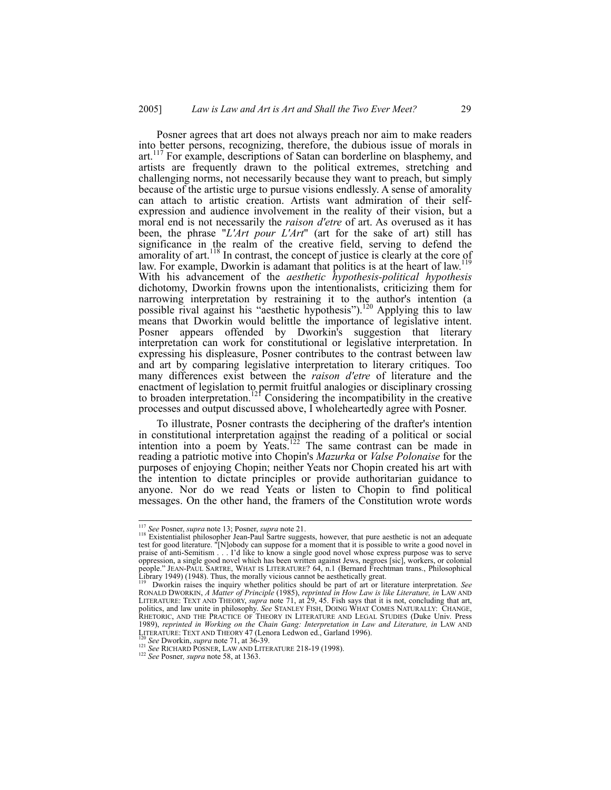Posner agrees that art does not always preach nor aim to make readers into better persons, recognizing, therefore, the dubious issue of morals in art.<sup>117</sup> For example, descriptions of Satan can borderline on blasphemy, and artists are frequently drawn to the political extremes, stretching and challenging norms, not necessarily because they want to preach, but simply because of the artistic urge to pursue visions endlessly. A sense of amorality can attach to artistic creation. Artists want admiration of their selfexpression and audience involvement in the reality of their vision, but a moral end is not necessarily the *raison d'etre* of art. As overused as it has been, the phrase "*L'Art pour L'Art*" (art for the sake of art) still has significance in the realm of the creative field, serving to defend the amorality of art.<sup>118</sup> In contrast, the concept of justice is clearly at the core of law. For example, Dworkin is adamant that politics is at the heart of law.<sup>119</sup> With his advancement of the *aesthetic hypothesis-political hypothesis*  dichotomy, Dworkin frowns upon the intentionalists, criticizing them for narrowing interpretation by restraining it to the author's intention (a possible rival against his "aesthetic hypothesis").<sup>120</sup> Applying this to law means that Dworkin would belittle the importance of legislative intent. Posner appears offended by Dworkin's suggestion that literary interpretation can work for constitutional or legislative interpretation. In expressing his displeasure, Posner contributes to the contrast between law and art by comparing legislative interpretation to literary critiques. Too many differences exist between the *raison d'etre* of literature and the enactment of legislation to permit fruitful analogies or disciplinary crossing to broaden interpretation.<sup>121</sup> Considering the incompatibility in the creative processes and output discussed above, I wholeheartedly agree with Posner.

To illustrate, Posner contrasts the deciphering of the drafter's intention in constitutional interpretation against the reading of a political or social intention into a poem by Yeats.<sup>122</sup> The same contrast can be made in reading a patriotic motive into Chopin's *Mazurka* or *Valse Polonaise* for the purposes of enjoying Chopin; neither Yeats nor Chopin created his art with the intention to dictate principles or provide authoritarian guidance to anyone. Nor do we read Yeats or listen to Chopin to find political messages. On the other hand, the framers of the Constitution wrote words

<sup>&</sup>lt;sup>117</sup> *See* Posner, *supra* note 13; Posner, *supra* note 21.<br><sup>118</sup> Existentialist philosopher Jean-Paul Sartre suggests, however, that pure aesthetic is not an adequate test for good literature. "[N]obody can suppose for a moment that it is possible to write a good novel in praise of anti-Semitism . . . I'd like to know a single good novel whose express purpose was to serve oppression, a single good novel which has been written against Jews, negroes [sic], workers, or colonial people." JEAN-PAUL SARTRE, WHAT IS LITERATURE? 64, n.1 (Bernard Frechtman trans., Philosophical Library 1949) (1948). Thus, the morally vicious cannot be aesthetically great.<br><sup>119</sup> Dworkin raises the inquiry whether politi

RONALD DWORKIN, A Matter of Principle (1985), reprinted in How Law is like Literature, in LAW AND<br>LITERATURE: TEXT AND THEORY, supra note 71, at 29, 45. Fish says that it is not, concluding that art, politics, and law unite in philosophy. *See* STANLEY FISH, DOING WHAT COMES NATURALLY: CHANGE, RHETORIC, AND THE PRACTICE OF THEORY IN LITERATURE AND LEGAL STUDIES (Duke Univ. Press 1989), *reprinted in Working on the Chain Gang: Interpretation in Law and Literature, in* LAW AND LITERATURE: TEXT AND THEORY 47 (Lenora Ledwon ed., Garland 1996).<br>
<sup>120</sup> See Dworkin, *supra* note 71, at 36-39.<br>
<sup>121</sup> See RICHARD POSNER, LAW AND LITERATURE 218-19 (1998).<br>
<sup>122</sup> See Posner, *supra* note 58, at 1363.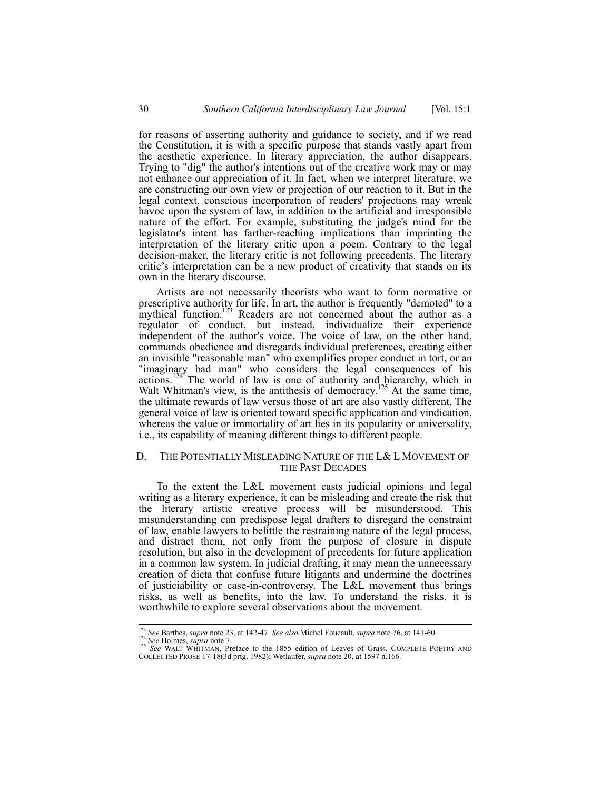for reasons of asserting authority and guidance to society, and if we read the Constitution, it is with a specific purpose that stands vastly apart from the aesthetic experience. In literary appreciation, the author disappears. Trying to "dig" the author's intentions out of the creative work may or may not enhance our appreciation of it. In fact, when we interpret literature, we are constructing our own view or projection of our reaction to it. But in the legal context, conscious incorporation of readers' projections may wreak havoc upon the system of law, in addition to the artificial and irresponsible nature of the effort. For example, substituting the judge's mind for the legislator's intent has farther-reaching implications than imprinting the interpretation of the literary critic upon a poem. Contrary to the legal decision-maker, the literary critic is not following precedents. The literary critic's interpretation can be a new product of creativity that stands on its own in the literary discourse.

Artists are not necessarily theorists who want to form normative or prescriptive authority for life. In art, the author is frequently "demoted" to a mythical function.<sup>123</sup> Readers are not concerned about the author as a regulator of conduct, but instead, individualize their experience independent of the author's voice. The voice of law, on the other hand, commands obedience and disregards individual preferences, creating either an invisible "reasonable man" who exemplifies proper conduct in tort, or an "imaginary bad man" who considers the legal consequences of his actions.<sup>124</sup> The world of law is one of authority and hierarchy, which in Walt Whitman's view, is the antithesis of democracy.<sup>125</sup> At the same time, the ultimate rewards of law versus those of art are also vastly different. The general voice of law is oriented toward specific application and vindication, whereas the value or immortality of art lies in its popularity or universality, i.e., its capability of meaning different things to different people.

## D. THE POTENTIALLY MISLEADING NATURE OF THE L& L MOVEMENT OF THE PAST DECADES

To the extent the L&L movement casts judicial opinions and legal writing as a literary experience, it can be misleading and create the risk that the literary artistic creative process will be misunderstood. This misunderstanding can predispose legal drafters to disregard the constraint of law, enable lawyers to belittle the restraining nature of the legal process, and distract them, not only from the purpose of closure in dispute resolution, but also in the development of precedents for future application in a common law system. In judicial drafting, it may mean the unnecessary creation of dicta that confuse future litigants and undermine the doctrines of justiciability or case-in-controversy. The L&L movement thus brings risks, as well as benefits, into the law. To understand the risks, it is worthwhile to explore several observations about the movement.

<sup>&</sup>lt;sup>123</sup> See Barthes, *supra* note 23, at 142-47. See also Michel Foucault, *supra* note 76, at 141-60.<br><sup>124</sup> See Holmes, *supra* note 7.<br><sup>125</sup> See WALT WHITMAN, Preface to the 1855 edition of Leaves of Grass, COMPLETE POETR COLLECTED PROSE 17-18(3d prtg. 1982); Wetlaufer, *supra* note 20, at 1597 n.166.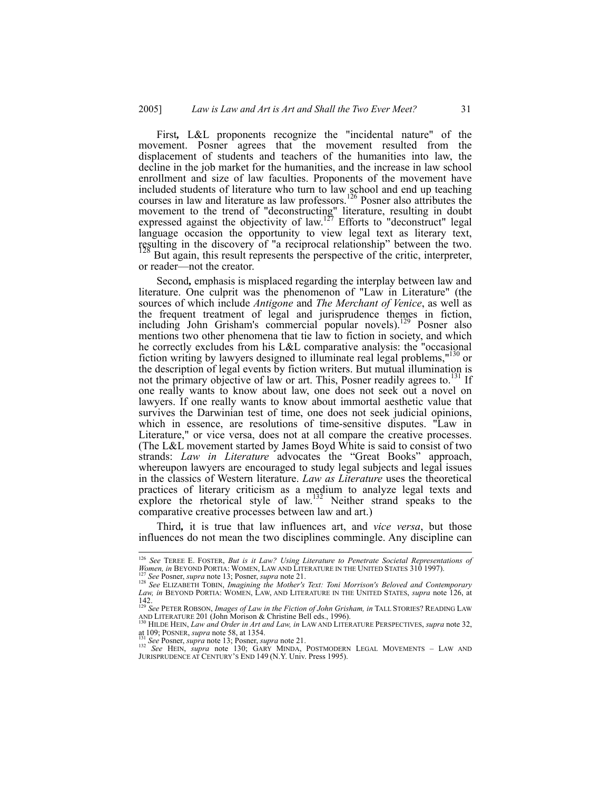First*,* L&L proponents recognize the "incidental nature" of the movement. Posner agrees that the movement resulted from the displacement of students and teachers of the humanities into law, the decline in the job market for the humanities, and the increase in law school enrollment and size of law faculties. Proponents of the movement have included students of literature who turn to law school and end up teaching courses in law and literature as law professors.<sup>126</sup> Posner also attributes the movement to the trend of "deconstructing" literature, resulting in doubt expressed against the objectivity of law.<sup>127</sup> Efforts to "deconstruct" legal language occasion the opportunity to view legal text as literary text, resulting in the discovery of "a reciprocal relationship" between the two. But again, this result represents the perspective of the critic, interpreter,

or reader—not the creator.

Second*,* emphasis is misplaced regarding the interplay between law and literature. One culprit was the phenomenon of "Law in Literature" (the sources of which include *Antigone* and *The Merchant of Venice*, as well as the frequent treatment of legal and jurisprudence themes in fiction, including John Grisham's commercial popular novels).<sup>129</sup> Posner also mentions two other phenomena that tie law to fiction in society, and which he correctly excludes from his L&L comparative analysis: the "occasional fiction writing by lawyers designed to illuminate real legal problems,"130 or the description of legal events by fiction writers. But mutual illumination is not the primary objective of law or art. This, Posner readily agrees to.<sup>131</sup> If one really wants to know about law, one does not seek out a novel on lawyers. If one really wants to know about immortal aesthetic value that survives the Darwinian test of time, one does not seek judicial opinions, which in essence, are resolutions of time-sensitive disputes. "Law in Literature," or vice versa, does not at all compare the creative processes. (The L&L movement started by James Boyd White is said to consist of two strands: *Law in Literature* advocates the "Great Books" approach, whereupon lawyers are encouraged to study legal subjects and legal issues in the classics of Western literature. *Law as Literature* uses the theoretical practices of literary criticism as a medium to analyze legal texts and explore the rhetorical style of law.<sup>132</sup> Neither strand speaks to the comparative creative processes between law and art.)

Third*,* it is true that law influences art, and *vice versa*, but those influences do not mean the two disciplines commingle. Any discipline can

 <sup>126</sup> *See* TEREE E. FOSTER, *But is it Law? Using Literature to Penetrate Societal Representations of*  Women, in BEYOND PORTIA: WOMEN, LAWAND LITERATURE IN THE UNITED STATES 310 1997).<br>
<sup>127</sup> See Posner, *supra* note 13; Posner, *supra* note 21.<br>
<sup>128</sup> See ELIZABETH TOBIN, *Imagining the Mother's Text: Toni Morrison's Belov* 

*Law, in* BEYOND PORTIA: WOMEN, LAW, AND LITERATURE IN THE UNITED STATES, *supra* note 126, at 142. <sup>129</sup> *See* PETER ROBSON, *Images of Law in the Fiction of John Grisham, in* TALL STORIES? READING LAW

AND LITERATURE 201 (John Morison & Christine Bell eds., 1996).<br><sup>130</sup> HILDE HEIN, *Law and Order in Art and Law, in* LAW AND LITERATURE PERSPECTIVES, *supra* note 32,<br><sup>131</sup> (1995). POSNER, *supra* note 58, at 1354.

<sup>&</sup>lt;sup>131</sup> See Posner, *supra* note 13; Posner, *supra* note 21.<br><sup>132</sup> See HEIN, *supra* note 130; GARY MINDA, POSTMODERN LEGAL MOVEMENTS – LAW AND JURISPRUDENCE AT CENTURY'S END 149 (N.Y. Univ. Press 1995).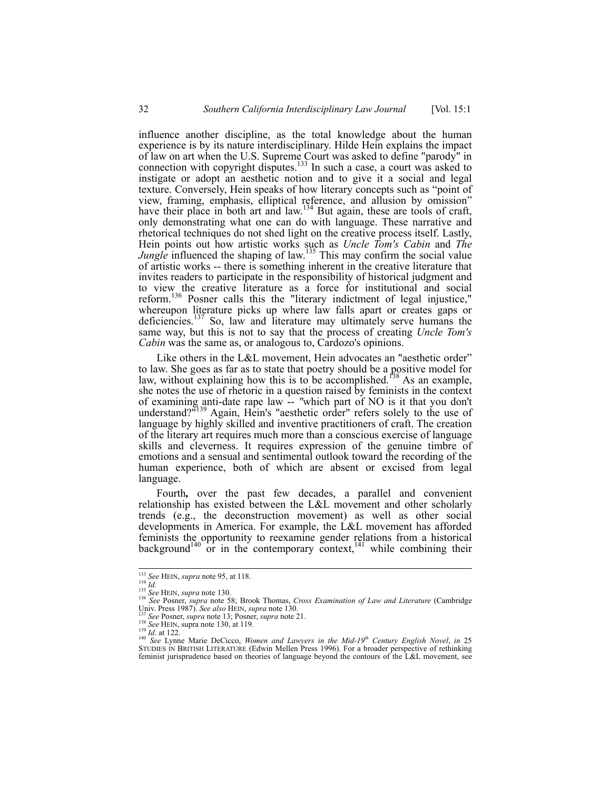influence another discipline, as the total knowledge about the human experience is by its nature interdisciplinary. Hilde Hein explains the impact of law on art when the U.S. Supreme Court was asked to define "parody" in connection with copyright disputes.<sup>133</sup> In such a case, a court was asked to instigate or adopt an aesthetic notion and to give it a social and legal texture. Conversely, Hein speaks of how literary concepts such as "point of view, framing, emphasis, elliptical reference, and allusion by omission" have their place in both art and law.<sup>134</sup> But again, these are tools of craft, only demonstrating what one can do with language. These narrative and rhetorical techniques do not shed light on the creative process itself. Lastly, Hein points out how artistic works such as *Uncle Tom's Cabin* and *The Jungle* influenced the shaping of law.<sup>135</sup> This may confirm the social value of artistic works -- there is something inherent in the creative literature that invites readers to participate in the responsibility of historical judgment and to view the creative literature as a force for institutional and social reform.<sup>136</sup> Posner calls this the "literary indictment of legal injustice," whereupon literature picks up where law falls apart or creates gaps or deficiencies.<sup>137</sup> So, law and literature may ultimately serve humans the same way, but this is not to say that the process of creating *Uncle Tom's Cabin* was the same as, or analogous to, Cardozo's opinions.

Like others in the L&L movement, Hein advocates an "aesthetic order" to law. She goes as far as to state that poetry should be a positive model for law, without explaining how this is to be accomplished.<sup>158</sup> As an example, she notes the use of rhetoric in a question raised by feminists in the context of examining anti-date rape law -- *"*which part of NO is it that you don't understand?<sup>"139</sup> Again, Hein's "aesthetic order" refers solely to the use of language by highly skilled and inventive practitioners of craft. The creation of the literary art requires much more than a conscious exercise of language skills and cleverness. It requires expression of the genuine timbre of emotions and a sensual and sentimental outlook toward the recording of the human experience, both of which are absent or excised from legal language.

Fourth*,* over the past few decades, a parallel and convenient relationship has existed between the L&L movement and other scholarly trends (e.g., the deconstruction movement) as well as other social developments in America. For example, the L&L movement has afforded feminists the opportunity to reexamine gender relations from a historical background<sup>140</sup> or in the contemporary context,<sup>141</sup> while combining their

<sup>&</sup>lt;sup>133</sup> See HEIN, supra note 95, at 118.<br><sup>134</sup> *Id.*<br><sup>135</sup> See HEIN, supra note 130.<br><sup>136</sup> See Posner, supra note 58; Brook Thomas, *Cross Examination of Law and Literature* (Cambridge Univ. Press 1987). See also HEIN, supr

Univ. Press 1987). See also HEIN, supra note 130.<br><sup>137</sup> See Posner, supra note 13; Posner, supra note 21.<br><sup>138</sup> See HEIN, supra note 130, at 119.<br><sup>140</sup> See Lynne Marie DeCicco, *Women and Lawyers in the Mid-19<sup>th</sup> Century* feminist jurisprudence based on theories of language beyond the contours of the L&L movement, see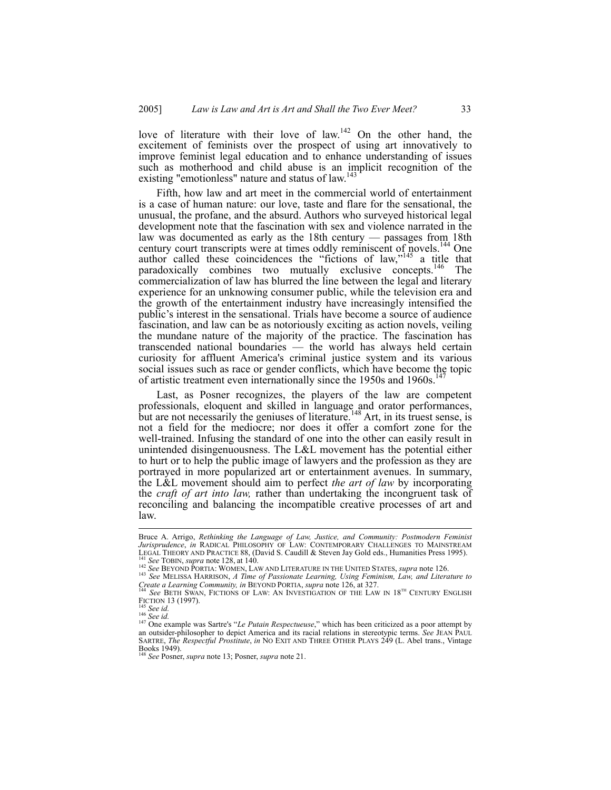love of literature with their love of law.<sup>142</sup> On the other hand, the excitement of feminists over the prospect of using art innovatively to improve feminist legal education and to enhance understanding of issues such as motherhood and child abuse is an implicit recognition of the existing "emotionless" nature and status of law.<sup>143</sup>

Fifth, how law and art meet in the commercial world of entertainment is a case of human nature: our love, taste and flare for the sensational, the unusual, the profane, and the absurd. Authors who surveyed historical legal development note that the fascination with sex and violence narrated in the law was documented as early as the 18th century — passages from 18th century court transcripts were at times oddly reminiscent of novels.<sup>144</sup> One author called these coincidences the "fictions of law,"<sup>145</sup> a title that paradoxically combines two mutually exclusive concepts.<sup>146</sup> The commercialization of law has blurred the line between the legal and literary experience for an unknowing consumer public, while the television era and the growth of the entertainment industry have increasingly intensified the public's interest in the sensational. Trials have become a source of audience fascination, and law can be as notoriously exciting as action novels, veiling the mundane nature of the majority of the practice. The fascination has transcended national boundaries — the world has always held certain curiosity for affluent America's criminal justice system and its various social issues such as race or gender conflicts, which have become the topic of artistic treatment even internationally since the 1950s and 1960s.<sup>1</sup>

Last, as Posner recognizes, the players of the law are competent professionals, eloquent and skilled in language and orator performances, but are not necessarily the geniuses of literature.<sup>148</sup> Art, in its truest sense, is not a field for the mediocre; nor does it offer a comfort zone for the well-trained. Infusing the standard of one into the other can easily result in unintended disingenuousness. The L&L movement has the potential either to hurt or to help the public image of lawyers and the profession as they are portrayed in more popularized art or entertainment avenues. In summary, the L&L movement should aim to perfect *the art of law* by incorporating the *craft of art into law,* rather than undertaking the incongruent task of reconciling and balancing the incompatible creative processes of art and law.

Bruce A. Arrigo, *Rethinking the Language of Law, Justice, and Community: Postmodern Feminist Jurisprudence*, *in* RADICAL PHILOSOPHY OF LAW: CONTEMPORARY CHALLENGES TO MAINSTREAM<br>LEGAL THEORY AND PRACTICE 88, (David S. Caudill & Steven Jay Gold eds., Humanities Press 1995).

<sup>143</sup> See TOBIN, supra note 128, at 140.<br>
<sup>142</sup> See TOBIN, supra note 128, at 140.<br>
<sup>142</sup> See BEYOND PORTIA: WOMEN, LAW AND LITERATURE IN THE UNITED STATES, supra note 126.<br>
<sup>143</sup> See MELISSA HARRISON, *A Time of Passionate* 

<sup>&</sup>lt;sup>144</sup> *See BETH SWAN, FICTIONS OF LAW: AN INVESTIGATION OF THE LAW IN 18<sup>TH</sup> CENTURY ENGLISH FICTION 13 (1997).* 

FICTION 145 *See id.*<br><sup>146</sup> *See id.*<br><sup>146</sup> *See id.* 2001 attempt was Sartre's "*Le Putain Respectueuse*," which has been criticized as a poor attempt by an outsider-philosopher to depict America and its racial relations in stereotypic terms. *See JEAN PAUL* SARTRE, *The Respectful Prostitute*, *in* NO EXIT AND THREE OTHER PLAYS 249 (L. Abel trans., Vintage Books 1949). <sup>148</sup> *See* Posner, *supra* note 13; Posner, *supra* note 21.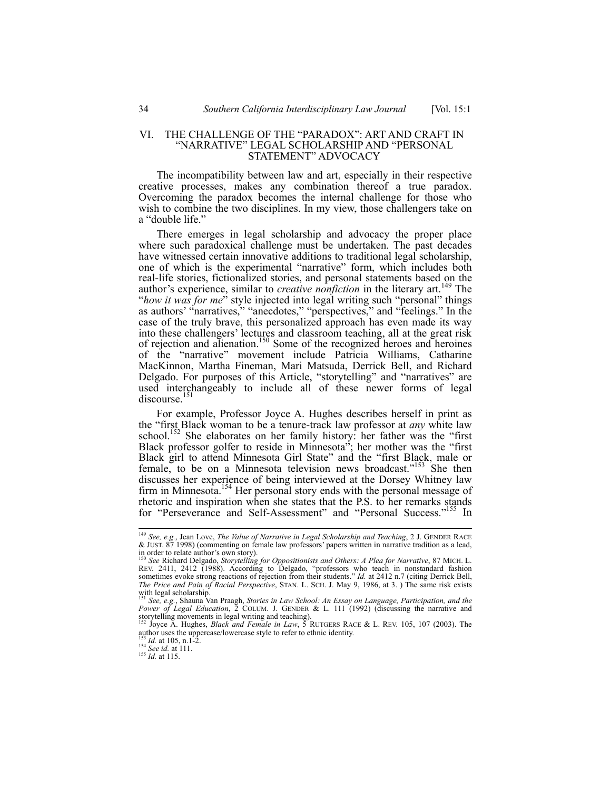#### VI. THE CHALLENGE OF THE "PARADOX": ART AND CRAFT IN "NARRATIVE" LEGAL SCHOLARSHIP AND "PERSONAL STATEMENT" ADVOCACY

The incompatibility between law and art, especially in their respective creative processes, makes any combination thereof a true paradox. Overcoming the paradox becomes the internal challenge for those who wish to combine the two disciplines. In my view, those challengers take on a "double life."

There emerges in legal scholarship and advocacy the proper place where such paradoxical challenge must be undertaken. The past decades have witnessed certain innovative additions to traditional legal scholarship, one of which is the experimental "narrative" form, which includes both real-life stories, fictionalized stories, and personal statements based on the author's experience, similar to *creative nonfiction* in the literary art.<sup>149</sup> The "*how it was for me*" style injected into legal writing such "personal" things as authors' "narratives," "anecdotes," "perspectives," and "feelings." In the case of the truly brave, this personalized approach has even made its way into these challengers' lectures and classroom teaching, all at the great risk of rejection and alienation.<sup>150</sup> Some of the recognized heroes and heroines of the "narrative" movement include Patricia Williams, Catharine MacKinnon, Martha Fineman, Mari Matsuda, Derrick Bell, and Richard Delgado. For purposes of this Article, "storytelling" and "narratives" are used interchangeably to include all of these newer forms of legal discourse.<sup>151</sup>

For example, Professor Joyce A. Hughes describes herself in print as the "first Black woman to be a tenure-track law professor at *any* white law school.<sup>152</sup> She elaborates on her family history: her father was the "first" Black professor golfer to reside in Minnesota"; her mother was the "first Black girl to attend Minnesota Girl State" and the "first Black, male or female, to be on a Minnesota television news broadcast."<sup>153</sup> She then discusses her experience of being interviewed at the Dorsey Whitney law firm in Minnesota.<sup>154</sup> Her personal story ends with the personal message of rhetoric and inspiration when she states that the P.S. to her remarks stands for "Perseverance and Self-Assessment" and "Personal Success."<sup>155</sup> In

 <sup>149</sup> *See, e.g.*, Jean Love, *The Value of Narrative in Legal Scholarship and Teaching*, 2 J. GENDER RACE & JUST. 87 1998) (commenting on female law professors' papers written in narrative tradition as a lead, in order to relate author's own story). <sup>150</sup> *See* Richard Delgado, *Storytelling for Oppositionists and Others: A Plea for Narrative*, 87 MICH. L.

REV. 2411, 2412 (1988). According to Delgado, "professors who teach in nonstandard fashion sometimes evoke strong reactions of rejection from their students." *Id.* at 2412 n.7 (citing Derrick Bell, *The Price and Pain of Racial Perspective*, STAN. L. SCH. J. May 9, 1986, at 3. ) The same risk exists with legal scholarship. <sup>151</sup> *See, e.g.*, Shauna Van Praagh, *Stories in Law School: An Essay on Language, Participation, and the* 

*Power of Legal Education*, 2 COLUM. J. GENDER & L. 111 (1992) (discussing the narrative and storytelling movements in legal writing and teaching).<br><sup>152</sup> Joyce A. Hughes, *Black and Female in Law*, 5 RUTGERS RACE & L. REV. 105, 107 (2003). The

author uses the uppercase/lowercase style to refer to ethnic identity.<br>
<sup>153</sup> *Id.* at 105, n.1-2.<br>
<sup>154</sup> *See id.* at 111.<br>
<sup>155</sup> *Id.* at 115.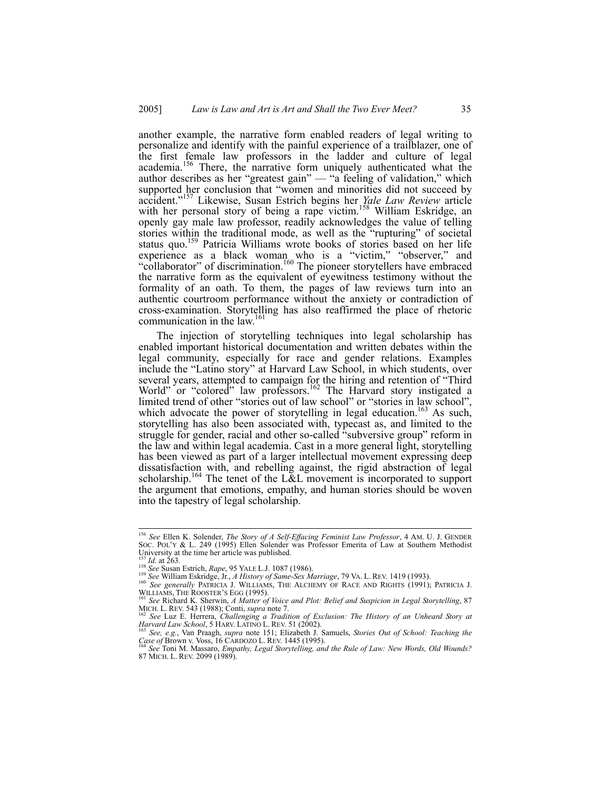another example, the narrative form enabled readers of legal writing to personalize and identify with the painful experience of a trailblazer, one of the first female law professors in the ladder and culture of legal academia.<sup>156</sup> There, the narrative form uniquely authenticated what the author describes as her "greatest gain" — "a feeling of validation," which supported her conclusion that "women and minorities did not succeed by accident."157 Likewise, Susan Estrich begins her *Yale Law Review* article with her personal story of being a rape victim.<sup>158</sup> William Eskridge, an openly gay male law professor, readily acknowledges the value of telling stories within the traditional mode, as well as the "rupturing" of societal status quo.<sup>159</sup> Patricia Williams wrote books of stories based on her life experience as a black woman who is a "victim," "observer," and "collaborator" of discrimination.<sup>160</sup> The pioneer storytellers have embraced the narrative form as the equivalent of eyewitness testimony without the formality of an oath. To them, the pages of law reviews turn into an authentic courtroom performance without the anxiety or contradiction of cross-examination. Storytelling has also reaffirmed the place of rhetoric communication in the law.<sup>161</sup>

The injection of storytelling techniques into legal scholarship has enabled important historical documentation and written debates within the legal community, especially for race and gender relations. Examples include the "Latino story" at Harvard Law School, in which students, over several years, attempted to campaign for the hiring and retention of "Third World" or "colored" law professors.<sup>162</sup> The Harvard story instigated a limited trend of other "stories out of law school" or "stories in law school", which advocate the power of storytelling in legal education.<sup>163</sup> As such, storytelling has also been associated with, typecast as, and limited to the struggle for gender, racial and other so-called "subversive group" reform in the law and within legal academia. Cast in a more general light, storytelling has been viewed as part of a larger intellectual movement expressing deep dissatisfaction with, and rebelling against, the rigid abstraction of legal scholarship.<sup>164</sup> The tenet of the L&L movement is incorporated to support the argument that emotions, empathy, and human stories should be woven into the tapestry of legal scholarship.

 <sup>156</sup> *See* Ellen K. Solender, *The Story of A Self-Effacing Feminist Law Professor*, 4 AM. U. J. GENDER SOC. POL'Y & L. 249 (1995) Ellen Solender was Professor Emerita of Law at Southern Methodist University at the time her article was published.<br><sup>157</sup> *Id.* at 263.<br><sup>158</sup> *See* Susan Estrich, *Rape*, 95 YALE L.J. 1087 (1986).

See Susan Estricit, *Rupe*, 93 TALE L.J. 1007 (1700).<br>
<sup>159</sup> See William Eskridge, Jr., *A History of Same-Sex Marriage*, 79 VA. L. REV. 1419 (1993).<br>
<sup>160</sup> See *generally* PATRICIA J. WILLIAMS, THE ALCHEMY OF RACE AND RIG

<sup>&</sup>lt;sup>161</sup> See Richard K. Sherwin, *A Matter of Voice and Plot: Belief and Suspicion in Legal Storytelling*, 87 *MICH. L. REV. 543 (1988); Conti, supra note 7.* MICH. L. REV. 543 (1988); Conti, *supra* note 7.<br><sup>162</sup> *See* Luz E. Herrera, *Challenging a Tradition of Exclusion: The History of an Unheard Story at* 

*Harvard Law School*, 5 HARV. LATINO L. REV. 51 (2002).<br><sup>163</sup> *See, e.g.*, Van Praagh, *supra* note 151; Elizabeth J. Samuels, *Stories Out of School: Teaching the* 

*Case of* Brown v. Voss, 16 CARDOZO L. REV. 1445 (1995). 164 *See* Toni M. Massaro, *Empathy, Legal Storytelling, and the Rule of Law: New Words, Old Wounds?*

<sup>87</sup> MICH. L. REV. 2099 (1989).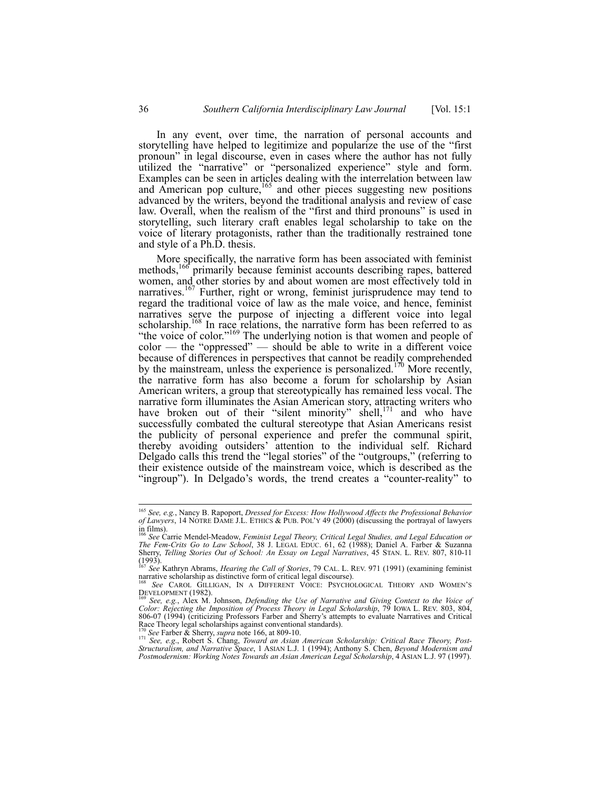In any event, over time, the narration of personal accounts and storytelling have helped to legitimize and popularize the use of the "first pronoun" in legal discourse, even in cases where the author has not fully utilized the "narrative" or "personalized experience" style and form. Examples can be seen in articles dealing with the interrelation between law and American pop culture,  $165$  and other pieces suggesting new positions advanced by the writers, beyond the traditional analysis and review of case law. Overall, when the realism of the "first and third pronouns" is used in storytelling, such literary craft enables legal scholarship to take on the voice of literary protagonists, rather than the traditionally restrained tone and style of a Ph.D. thesis.

More specifically, the narrative form has been associated with feminist methods,  $166$  primarily because feminist accounts describing rapes, battered women, and other stories by and about women are most effectively told in narratives.<sup>167</sup> Further, right or wrong, feminist jurisprudence may tend to regard the traditional voice of law as the male voice, and hence, feminist narratives serve the purpose of injecting a different voice into legal scholarship.<sup>168</sup> In race relations, the narrative form has been referred to as "the voice of color."<sup>169</sup> The underlying notion is that women and people of color — the "oppressed" — should be able to write in a different voice because of differences in perspectives that cannot be readily comprehended by the mainstream, unless the experience is personalized.<sup>170</sup> More recently, the narrative form has also become a forum for scholarship by Asian American writers, a group that stereotypically has remained less vocal. The narrative form illuminates the Asian American story, attracting writers who have broken out of their "silent minority" shell,<sup>171</sup> and who have successfully combated the cultural stereotype that Asian Americans resist the publicity of personal experience and prefer the communal spirit, thereby avoiding outsiders' attention to the individual self. Richard Delgado calls this trend the "legal stories" of the "outgroups," (referring to their existence outside of the mainstream voice, which is described as the "ingroup"). In Delgado's words, the trend creates a "counter-reality" to

 <sup>165</sup> *See, e.g.*, Nancy B. Rapoport, *Dressed for Excess: How Hollywood Affects the Professional Behavior of Lawyers*, 14 NOTRE DAME J.L. ETHICS & PUB. POL'Y 49 (2000) (discussing the portrayal of lawyers

in films). <sup>166</sup> *See* Carrie Mendel-Meadow, *Feminist Legal Theory, Critical Legal Studies, and Legal Education or The Fem-Crits Go to Law School*, 38 J. LEGAL EDUC. 61, 62 (1988); Daniel A. Farber & Suzanna Sherry, *Telling Stories Out of School: An Essay on Legal Narratives*, 45 STAN. L. REV. 807, 810-11  $(1993)$ .

<sup>&</sup>lt;sup>167</sup> *See* Kathryn Abrams, *Hearing the Call of Stories*, 79 CAL. L. REV. 971 (1991) (examining feminist narrative scholarship as distinctive form of critical legal discourse).

<sup>&</sup>lt;sup>168</sup> See CAROL GILLIGAN, IN A DIFFERENT VOICE: PSYCHOLOGICAL THEORY AND WOMEN'S DEVELOPMENT (1982).

See, e.g., Alex M. Johnson, *Defending the Use of Narrative and Giving Context to the Voice of Color: Rejecting the Imposition of Process Theory in Legal Scholarship*, 79 IOWA L. REV. 803, 804, 806-07 (1994) (criticizing Professors Farber and Sherry's attempts to evaluate Narratives and Critical Race Theory legal scholarships against conventional standards).

Race Theory legal scholarships against conventional standards).<br><sup>170</sup> See Farber & Sherry, *supra* note 166, at 809-10.<br><sup>171</sup> See, e.g., Robert S. Chang, *Toward an Asian American Scholarship: Critical Race Theory, Post-*<br> *Postmodernism: Working Notes Towards an Asian American Legal Scholarship*, 4 ASIAN L.J. 97 (1997).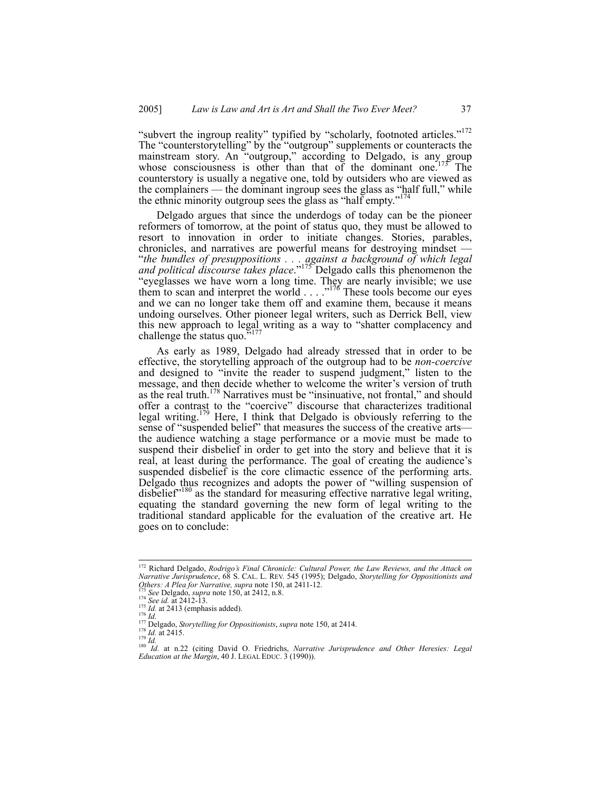"subvert the ingroup reality" typified by "scholarly, footnoted articles."<sup>172</sup> The "counterstorytelling" by the "outgroup" supplements or counteracts the mainstream story. An "outgroup," according to Delgado, is any group whose consciousness is other than that of the dominant one.<sup>173</sup> The counterstory is usually a negative one, told by outsiders who are viewed as the complainers — the dominant ingroup sees the glass as "half full," while the ethnic minority outgroup sees the glass as "half empty."<sup>174</sup>

Delgado argues that since the underdogs of today can be the pioneer reformers of tomorrow, at the point of status quo, they must be allowed to resort to innovation in order to initiate changes. Stories, parables, chronicles, and narratives are powerful means for destroying mindset — "*the bundles of presuppositions . . . against a background of which legal and political discourse takes place*."175 Delgado calls this phenomenon the "eyeglasses we have worn a long time. They are nearly invisible; we use them to scan and interpret the world  $\ldots$ ...<sup>176</sup> These tools become our eyes and we can no longer take them off and examine them, because it means undoing ourselves. Other pioneer legal writers, such as Derrick Bell, view this new approach to legal writing as a way to "shatter complacency and challenge the status quo. $5177$ 

As early as 1989, Delgado had already stressed that in order to be effective, the storytelling approach of the outgroup had to be *non-coercive* and designed to "invite the reader to suspend judgment," listen to the message, and then decide whether to welcome the writer's version of truth as the real truth.<sup>178</sup> Narratives must be "insinuative, not frontal," and should offer a contrast to the "coercive" discourse that characterizes traditional legal writing.<sup>179</sup> Here, I think that Delgado is obviously referring to the sense of "suspended belief" that measures the success of the creative arts the audience watching a stage performance or a movie must be made to suspend their disbelief in order to get into the story and believe that it is real, at least during the performance. The goal of creating the audience's suspended disbelief is the core climactic essence of the performing arts. Delgado thus recognizes and adopts the power of "willing suspension of disbelief"<sup>180</sup> as the standard for measuring effective narrative legal writing, equating the standard governing the new form of legal writing to the traditional standard applicable for the evaluation of the creative art. He goes on to conclude:

 <sup>172</sup> Richard Delgado, *Rodrigo's Final Chronicle: Cultural Power, the Law Reviews, and the Attack on Narrative Jurisprudence*, 68 S. CAL. L. REV. 545 (1995); Delgado, *Storytelling for Oppositionists and*  Others: A Plea for Narrative, supra note 150, at 2411-12.<br>
<sup>174</sup> See Delgado, supra note 150, at 2412, n.8.<br>
<sup>174</sup> See id. at 2412-13.<br>
<sup>175</sup> Id. at 2413 (emphasis added).<br>
<sup>176</sup> Id. at 2415.<br>
<sup>176</sup> Id. at 2415.<br>
<sup>178</sup> Id

*Education at the Margin*, 40 J. LEGAL EDUC. 3 (1990)).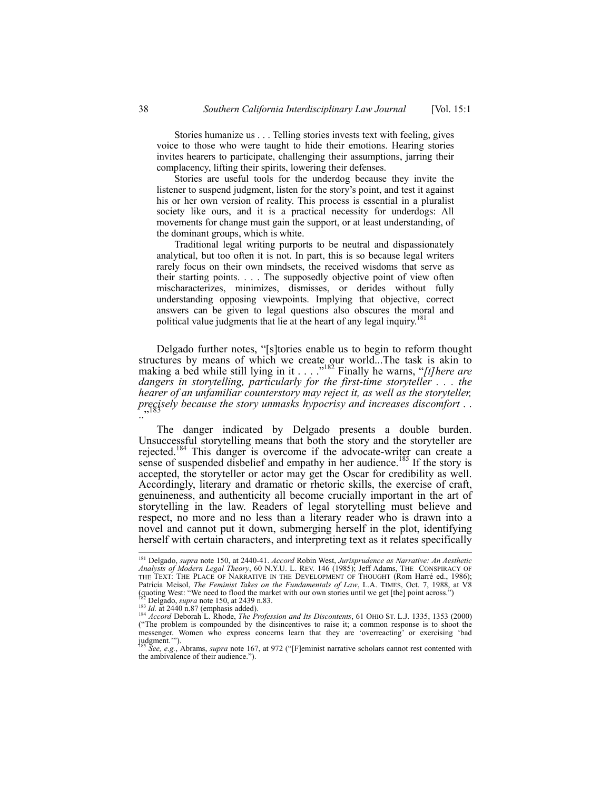Stories humanize us . . . Telling stories invests text with feeling, gives voice to those who were taught to hide their emotions. Hearing stories invites hearers to participate, challenging their assumptions, jarring their complacency, lifting their spirits, lowering their defenses.

 Stories are useful tools for the underdog because they invite the listener to suspend judgment, listen for the story's point, and test it against his or her own version of reality. This process is essential in a pluralist society like ours, and it is a practical necessity for underdogs: All movements for change must gain the support, or at least understanding, of the dominant groups, which is white.

 Traditional legal writing purports to be neutral and dispassionately analytical, but too often it is not. In part, this is so because legal writers rarely focus on their own mindsets, the received wisdoms that serve as their starting points. . . . The supposedly objective point of view often mischaracterizes, minimizes, dismisses, or derides without fully understanding opposing viewpoints. Implying that objective, correct answers can be given to legal questions also obscures the moral and political value judgments that lie at the heart of any legal inquiry.<sup>181</sup>

Delgado further notes, "[s]tories enable us to begin to reform thought structures by means of which we create our world...The task is akin to making a bed while still lying in it . . . .<sup>"182</sup> Finally he warns, "[t] here are *dangers in storytelling, particularly for the first-time storyteller . . . the hearer of an unfamiliar counterstory may reject it, as well as the storyteller, precisely because the story unmasks hypocrisy and increases discomfort* . . .."183

The danger indicated by Delgado presents a double burden. Unsuccessful storytelling means that both the story and the storyteller are rejected.<sup>184</sup> This danger is overcome if the advocate-writer can create a sense of suspended disbelief and empathy in her audience.<sup>185</sup> If the story is accepted, the storyteller or actor may get the Oscar for credibility as well. Accordingly, literary and dramatic or rhetoric skills, the exercise of craft, genuineness, and authenticity all become crucially important in the art of storytelling in the law. Readers of legal storytelling must believe and respect, no more and no less than a literary reader who is drawn into a novel and cannot put it down, submerging herself in the plot, identifying herself with certain characters, and interpreting text as it relates specifically

 <sup>181</sup> Delgado, *supra* note 150, at 2440-41. *Accord* Robin West, *Jurisprudence as Narrative: An Aesthetic Analysts of Modern Legal Theory*, 60 N.Y.U. L. REV. 146 (1985); Jeff Adams, THE CONSPIRACY OF THE TEXT: THE PLACE OF NARRATIVE IN THE DEVELOPMENT OF THOUGHT (Rom Harré ed., 1986); Patricia Meisol, *The Feminist Takes on the Fundamentals of Law*, L.A. TIMES, Oct. 7, 1988, at V8 (guoting West: "We need to flood the market with our own stories until we get [the] point across.")

<sup>(</sup>quoting West: "We need to flood the market with our own stories until we get [the] point across.")<br>
<sup>182</sup> Delgado, *supra* note 150, at 2439 n.83.<br>
<sup>183</sup> *Id.* at 2440 n.87 (emphasis added).<br>
<sup>184</sup> *Accord* Deborah L. Rh messenger. Women who express concerns learn that they are 'overreacting' or exercising 'bad judgment.'").

<sup>185</sup> *See, e.g.*, Abrams, *supra* note 167, at 972 ("[F]eminist narrative scholars cannot rest contented with the ambivalence of their audience.").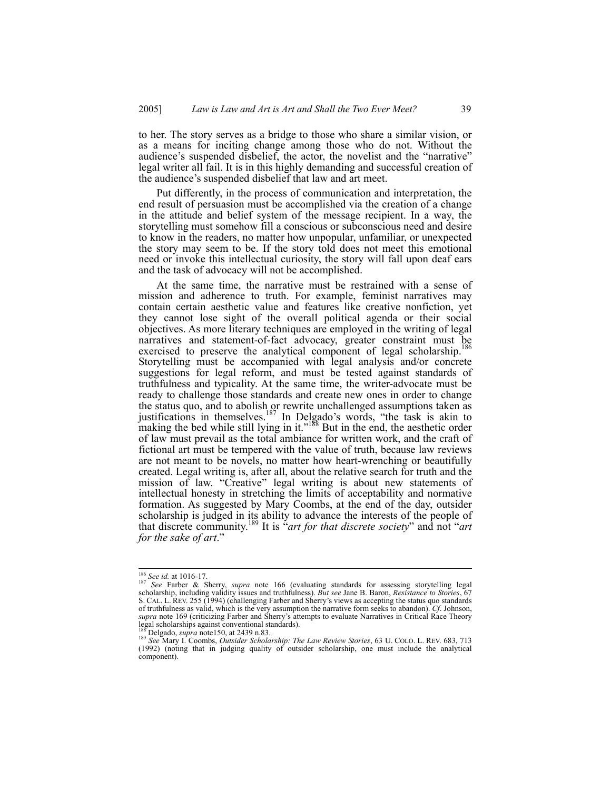to her. The story serves as a bridge to those who share a similar vision, or as a means for inciting change among those who do not. Without the audience's suspended disbelief, the actor, the novelist and the "narrative" legal writer all fail. It is in this highly demanding and successful creation of the audience's suspended disbelief that law and art meet.

Put differently, in the process of communication and interpretation, the end result of persuasion must be accomplished via the creation of a change in the attitude and belief system of the message recipient. In a way, the storytelling must somehow fill a conscious or subconscious need and desire to know in the readers, no matter how unpopular, unfamiliar, or unexpected the story may seem to be. If the story told does not meet this emotional need or invoke this intellectual curiosity, the story will fall upon deaf ears and the task of advocacy will not be accomplished.

At the same time, the narrative must be restrained with a sense of mission and adherence to truth. For example, feminist narratives may contain certain aesthetic value and features like creative nonfiction, yet they cannot lose sight of the overall political agenda or their social objectives. As more literary techniques are employed in the writing of legal narratives and statement-of-fact advocacy, greater constraint must be exercised to preserve the analytical component of legal scholarship.<sup>186</sup> Storytelling must be accompanied with legal analysis and/or concrete suggestions for legal reform, and must be tested against standards of truthfulness and typicality. At the same time, the writer-advocate must be ready to challenge those standards and create new ones in order to change the status quo, and to abolish or rewrite unchallenged assumptions taken as justifications in themselves.<sup>187</sup> In Delgado's words, "the task is akin to making the bed while still lying in it."<sup>188</sup> But in the end, the aesthetic order of law must prevail as the total ambiance for written work, and the craft of fictional art must be tempered with the value of truth, because law reviews are not meant to be novels, no matter how heart-wrenching or beautifully created. Legal writing is, after all, about the relative search for truth and the mission of law. "Creative" legal writing is about new statements of intellectual honesty in stretching the limits of acceptability and normative formation. As suggested by Mary Coombs, at the end of the day, outsider scholarship is judged in its ability to advance the interests of the people of that discrete community.189 It is "*art for that discrete society*" and not "*art for the sake of art*."

<sup>186</sup> *See id.* at 1016-17. 187 *See* Farber & Sherry, *supra* note 166 (evaluating standards for assessing storytelling legal scholarship, including validity issues and truthfulness). *But see* Jane B. Baron, *Resistance to Stories*, 67 S. CAL. L. REV. 255 (1994) (challenging Farber and Sherry's views as accepting the status quo standards of truthfulness as valid, which is the very assumption the narrative form seeks to abandon). *Cf*. Johnson, *supra* note 169 (criticizing Farber and Sherry's attempts to evaluate Narratives in Critical Race Theory legal scholarships against conventional standards).<br><sup>188</sup> Delgado, *supra* note 150, at 2439 n.83.

<sup>188</sup> Delgado, *supra* note150, at 2439 n.83. 189 *See* Mary I. Coombs, *Outsider Scholarship: The Law Review Stories*, 63 U. COLO. L. REV. 683, 713 (1992) (noting that in judging quality of outsider scholarship, one must include the analytical component).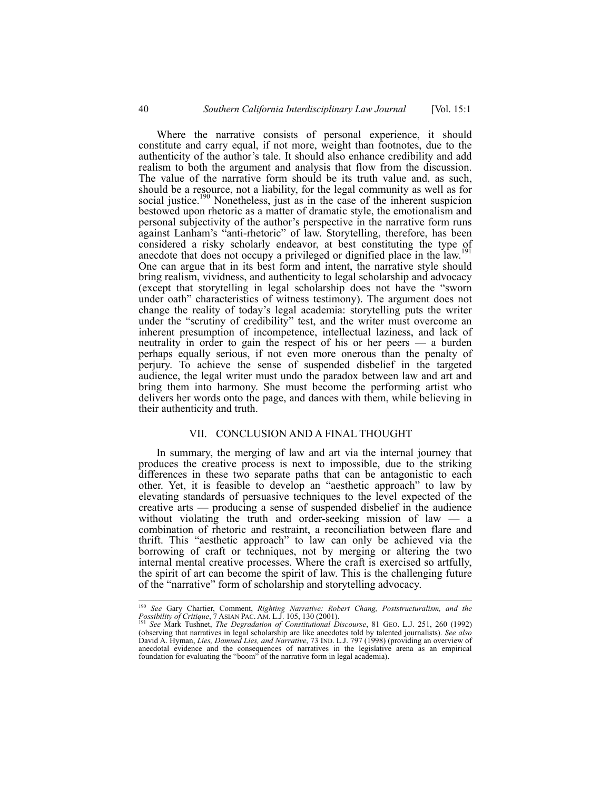Where the narrative consists of personal experience, it should constitute and carry equal, if not more, weight than footnotes, due to the authenticity of the author's tale. It should also enhance credibility and add realism to both the argument and analysis that flow from the discussion. The value of the narrative form should be its truth value and, as such, should be a resource, not a liability, for the legal community as well as for social justice.<sup>190</sup> Nonetheless, just as in the case of the inherent suspicion bestowed upon rhetoric as a matter of dramatic style, the emotionalism and personal subjectivity of the author's perspective in the narrative form runs against Lanham's "anti-rhetoric" of law. Storytelling, therefore, has been considered a risky scholarly endeavor, at best constituting the type of anecdote that does not occupy a privileged or dignified place in the law.<sup>1</sup> One can argue that in its best form and intent, the narrative style should bring realism, vividness, and authenticity to legal scholarship and advocacy (except that storytelling in legal scholarship does not have the "sworn under oath" characteristics of witness testimony). The argument does not change the reality of today's legal academia: storytelling puts the writer under the "scrutiny of credibility" test, and the writer must overcome an inherent presumption of incompetence, intellectual laziness, and lack of neutrality in order to gain the respect of his or her peers — a burden perhaps equally serious, if not even more onerous than the penalty of perjury. To achieve the sense of suspended disbelief in the targeted audience, the legal writer must undo the paradox between law and art and bring them into harmony. She must become the performing artist who delivers her words onto the page, and dances with them, while believing in their authenticity and truth.

#### VII. CONCLUSION AND A FINAL THOUGHT

In summary, the merging of law and art via the internal journey that produces the creative process is next to impossible, due to the striking differences in these two separate paths that can be antagonistic to each other. Yet, it is feasible to develop an "aesthetic approach" to law by elevating standards of persuasive techniques to the level expected of the creative arts — producing a sense of suspended disbelief in the audience without violating the truth and order-seeking mission of law  $-$  a combination of rhetoric and restraint, a reconciliation between flare and thrift. This "aesthetic approach" to law can only be achieved via the borrowing of craft or techniques, not by merging or altering the two internal mental creative processes. Where the craft is exercised so artfully, the spirit of art can become the spirit of law. This is the challenging future of the "narrative" form of scholarship and storytelling advocacy.

 <sup>190</sup> *See* Gary Chartier, Comment, *Righting Narrative: Robert Chang, Poststructuralism, and the Possibility of Critique*, 7 ASIAN PAC. AM. L.J. 105, 130 (2001). 191 *See* Mark Tushnet, *The Degradation of Constitutional Discourse*, 81 GEO. L.J. 251, 260 (1992)

<sup>(</sup>observing that narratives in legal scholarship are like anecdotes told by talented journalists). *See also*  David A. Hyman, *Lies, Damned Lies, and Narrative*, 73 IND. L.J. 797 (1998) (providing an overview of anecdotal evidence and the consequences of narratives in the legislative arena as an empirical foundation for evaluating the "boom" of the narrative form in legal academia).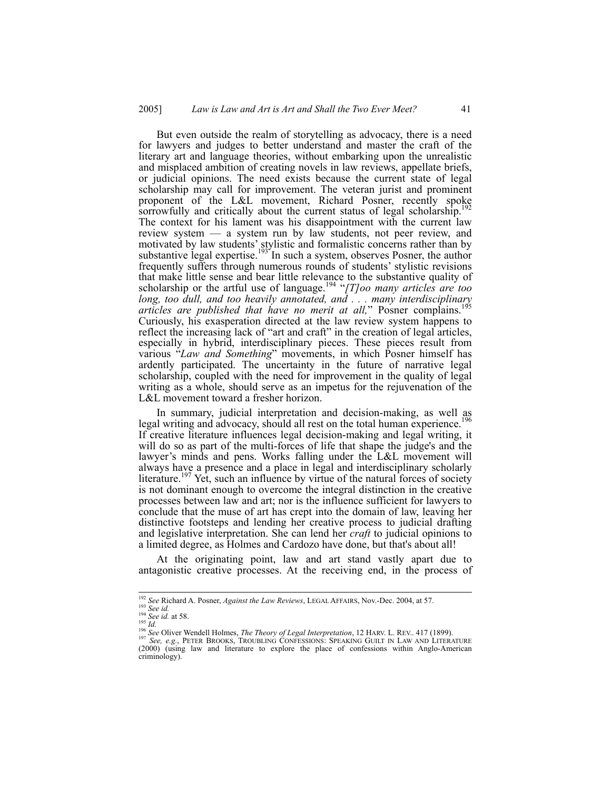But even outside the realm of storytelling as advocacy, there is a need for lawyers and judges to better understand and master the craft of the literary art and language theories, without embarking upon the unrealistic and misplaced ambition of creating novels in law reviews, appellate briefs, or judicial opinions. The need exists because the current state of legal scholarship may call for improvement. The veteran jurist and prominent proponent of the L&L movement, Richard Posner, recently spoke sorrowfully and critically about the current status of legal scholarship.<sup>1</sup> The context for his lament was his disappointment with the current law review system — a system run by law students, not peer review, and motivated by law students' stylistic and formalistic concerns rather than by substantive legal expertise.<sup>193</sup> In such a system, observes Posner, the author frequently suffers through numerous rounds of students' stylistic revisions that make little sense and bear little relevance to the substantive quality of scholarship or the artful use of language.<sup>194</sup> "[*T]oo many articles are too long, too dull, and too heavily annotated, and . . . many interdisciplinary articles are published that have no merit at all,*" Posner complains.195 Curiously, his exasperation directed at the law review system happens to reflect the increasing lack of "art and craft" in the creation of legal articles, especially in hybrid, interdisciplinary pieces. These pieces result from various "*Law and Something*" movements, in which Posner himself has ardently participated. The uncertainty in the future of narrative legal scholarship, coupled with the need for improvement in the quality of legal writing as a whole, should serve as an impetus for the rejuvenation of the L&L movement toward a fresher horizon.

In summary, judicial interpretation and decision-making, as well as legal writing and advocacy, should all rest on the total human experience.<sup>196</sup> If creative literature influences legal decision-making and legal writing, it will do so as part of the multi-forces of life that shape the judge's and the lawyer's minds and pens. Works falling under the L&L movement will always have a presence and a place in legal and interdisciplinary scholarly literature.<sup>197</sup> Yet, such an influence by virtue of the natural forces of society is not dominant enough to overcome the integral distinction in the creative processes between law and art; nor is the influence sufficient for lawyers to conclude that the muse of art has crept into the domain of law, leaving her distinctive footsteps and lending her creative process to judicial drafting and legislative interpretation. She can lend her *craft* to judicial opinions to a limited degree, as Holmes and Cardozo have done, but that's about all!

At the originating point, law and art stand vastly apart due to antagonistic creative processes. At the receiving end, in the process of

<sup>&</sup>lt;sup>192</sup> See Richard A. Posner, *Against the Law Reviews*, LEGAL AFFAIRS, Nov.-Dec. 2004, at 57.<br><sup>193</sup> See id.<br><sup>194</sup> See id. at 58.<br><sup>194</sup> See id. at 58.<br><sup>195</sup> See, e.g., PETER BROOKS, TROUBLING CONFESSIONS: SPEAKING GUILT IN (2000) (using law and literature to explore the place of confessions within Anglo-American criminology).